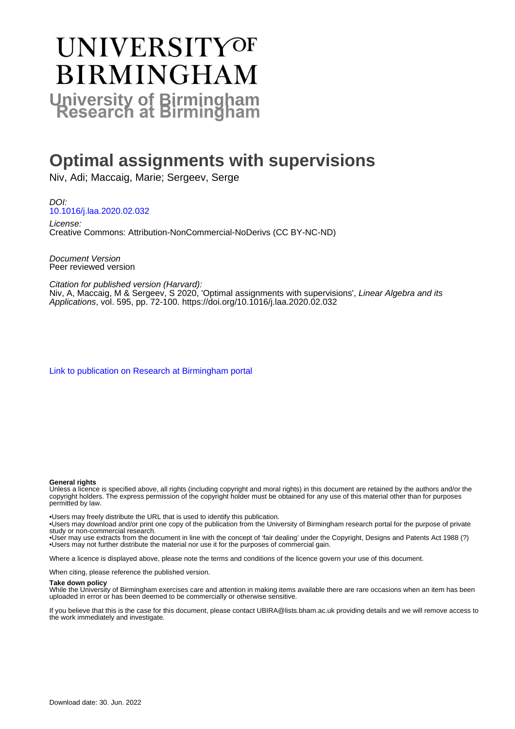# **UNIVERSITYOF BIRMINGHAM University of Birmingham**

## **Optimal assignments with supervisions**

Niv, Adi; Maccaig, Marie; Sergeev, Serge

DOI: [10.1016/j.laa.2020.02.032](https://doi.org/10.1016/j.laa.2020.02.032)

License: Creative Commons: Attribution-NonCommercial-NoDerivs (CC BY-NC-ND)

Document Version Peer reviewed version

Citation for published version (Harvard): Niv, A, Maccaig, M & Sergeev, S 2020, 'Optimal assignments with supervisions', Linear Algebra and its Applications, vol. 595, pp. 72-100.<https://doi.org/10.1016/j.laa.2020.02.032>

[Link to publication on Research at Birmingham portal](https://birmingham.elsevierpure.com/en/publications/31790cb2-1e13-47ef-8c9d-570925156055)

#### **General rights**

Unless a licence is specified above, all rights (including copyright and moral rights) in this document are retained by the authors and/or the copyright holders. The express permission of the copyright holder must be obtained for any use of this material other than for purposes permitted by law.

• Users may freely distribute the URL that is used to identify this publication.

• Users may download and/or print one copy of the publication from the University of Birmingham research portal for the purpose of private study or non-commercial research.

• User may use extracts from the document in line with the concept of 'fair dealing' under the Copyright, Designs and Patents Act 1988 (?) • Users may not further distribute the material nor use it for the purposes of commercial gain.

Where a licence is displayed above, please note the terms and conditions of the licence govern your use of this document.

When citing, please reference the published version.

#### **Take down policy**

While the University of Birmingham exercises care and attention in making items available there are rare occasions when an item has been uploaded in error or has been deemed to be commercially or otherwise sensitive.

If you believe that this is the case for this document, please contact UBIRA@lists.bham.ac.uk providing details and we will remove access to the work immediately and investigate.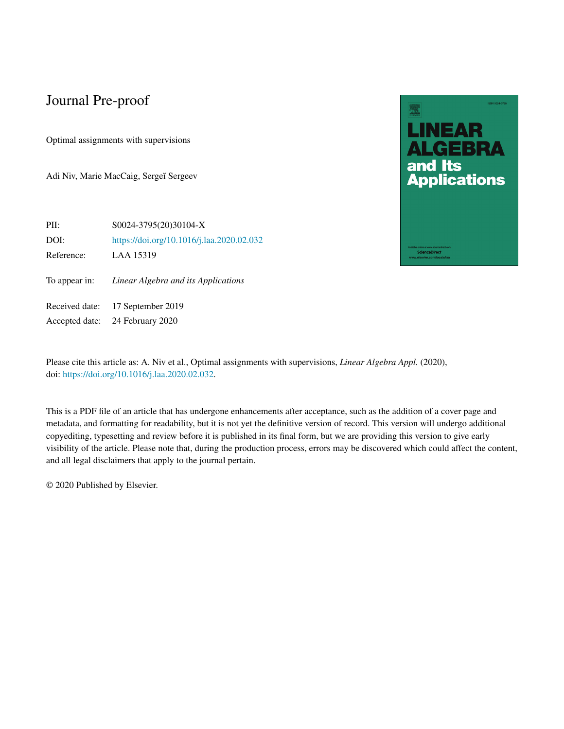Optimal assignments with supervisions

Adi Niv, Marie MacCaig, Sergeĭ Sergeev





Please cite this article as: A. Niv et al., Optimal assignments with supervisions, *Linear Algebra Appl.* (2020), doi: [https://doi.org/10.1016/j.laa.2020.02.032.](https://doi.org/10.1016/j.laa.2020.02.032)

This is a PDF file of an article that has undergone enhancements after acceptance, such as the addition of a cover page and metadata, and formatting for readability, but it is not yet the definitive version of record. This version will undergo additional copyediting, typesetting and review before it is published in its final form, but we are providing this version to give early visibility of the article. Please note that, during the production process, errors may be discovered which could affect the content, and all legal disclaimers that apply to the journal pertain.

© 2020 Published by Elsevier.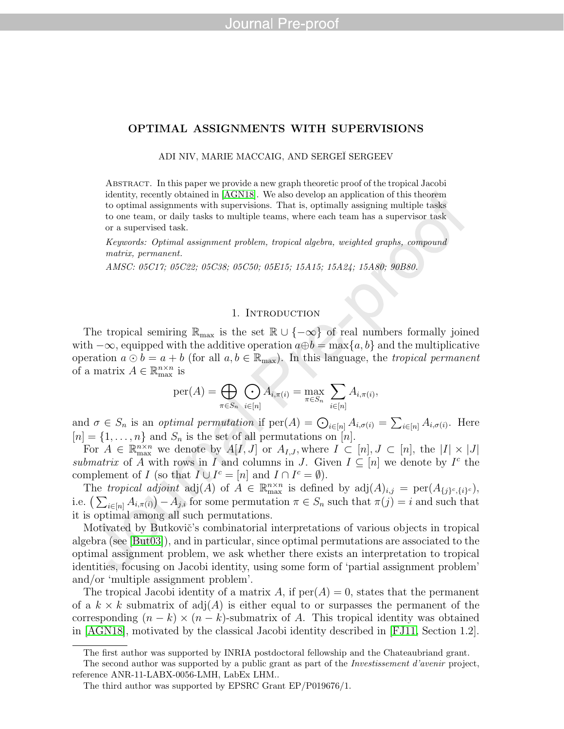ADI NIV, MARIE MACCAIG, AND SERGEÏ SERGEEV

Abstract. In this paper we provide a new graph theoretic proof of the tropical Jacobi identity, recently obtained in [\[AGN18\]](#page-25-0). We also develop an application of this theorem to optimal assignments with supervisions. That is, optimally assigning multiple tasks to one team, or daily tasks to multiple teams, where each team has a supervisor task or a supervised task.

Keywords: Optimal assignment problem, tropical algebra, weighted graphs, compound matrix, permanent.

AMSC: 05C17; 05C22; 05C38; 05C50; 05E15; 15A15; 15A24; 15A80; 90B80.

#### 1. INTRODUCTION

The tropical semiring  $\mathbb{R}_{\text{max}}$  is the set  $\mathbb{R} \cup \{-\infty\}$  of real numbers formally joined with  $-\infty$ , equipped with the additive operation  $a \oplus b = \max\{a, b\}$  and the multiplicative operation  $a \odot b = a + b$  (for all  $a, b \in \mathbb{R}_{max}$ ). In this language, the *tropical permanent* of a matrix  $A \in \mathbb{R}_{\max}^{n \times n}$  is

$$
\mathrm{per}(A) = \bigoplus_{\pi \in S_n} \bigodot_{i \in [n]} A_{i, \pi(i)} = \max_{\pi \in S_n} \sum_{i \in [n]} A_{i, \pi(i)},
$$

and  $\sigma \in S_n$  is an *optimal permutation* if  $\text{per}(A) = \bigodot_{i \in [n]} A_{i,\sigma(i)} = \sum_{i \in [n]} A_{i,\sigma(i)}$ . Here  $[n] = \{1, \ldots, n\}$  and  $S_n$  is the set of all permutations on  $[n]$ .

For  $A \in \mathbb{R}_{\max}^{n \times n}$  we denote by  $A[I, J]$  or  $A_{I,J}$ , where  $I \subset [n], J \subset [n]$ , the  $|I| \times |J|$ submatrix of A with rows in I and columns in J. Given  $I \subseteq [n]$  we denote by  $I^c$  the complement of I (so that  $I \cup I^c = [n]$  and  $I \cap I^c = \emptyset$ ).

The tropical adjoint  $\text{adj}(A)$  of  $A \in \mathbb{R}_{\text{max}}^{n \times n}$  is defined by  $\text{adj}(A)_{i,j} = \text{per}(A_{\{j\}^c,\{i\}^c}),$ i.e.  $\left(\sum_{i\in[n]} A_{i,\pi(i)}\right) - A_{j,i}$  for some permutation  $\pi \in S_n$  such that  $\pi(j) = i$  and such that it is optimal among all such permutations.

Motivated by Butkovič's combinatorial interpretations of various objects in tropical algebra (see [\[But03\]](#page-25-1)), and in particular, since optimal permutations are associated to the optimal assignment problem, we ask whether there exists an interpretation to tropical identities, focusing on Jacobi identity, using some form of 'partial assignment problem' and/or 'multiple assignment problem'.

The tropical Jacobi identity of a matrix A, if  $per(A) = 0$ , states that the permanent of a  $k \times k$  submatrix of adj $(A)$  is either equal to or surpasses the permanent of the corresponding  $(n - k) \times (n - k)$ -submatrix of A. This tropical identity was obtained in [\[AGN18\]](#page-25-0), motivated by the classical Jacobi identity described in [\[FJ11,](#page-25-2) Section 1.2].

The first author was supported by INRIA postdoctoral fellowship and the Chateaubriand grant.

The second author was supported by a public grant as part of the Investissement d'avenir project, reference ANR-11-LABX-0056-LMH, LabEx LHM..

The third author was supported by EPSRC Grant EP/P019676/1.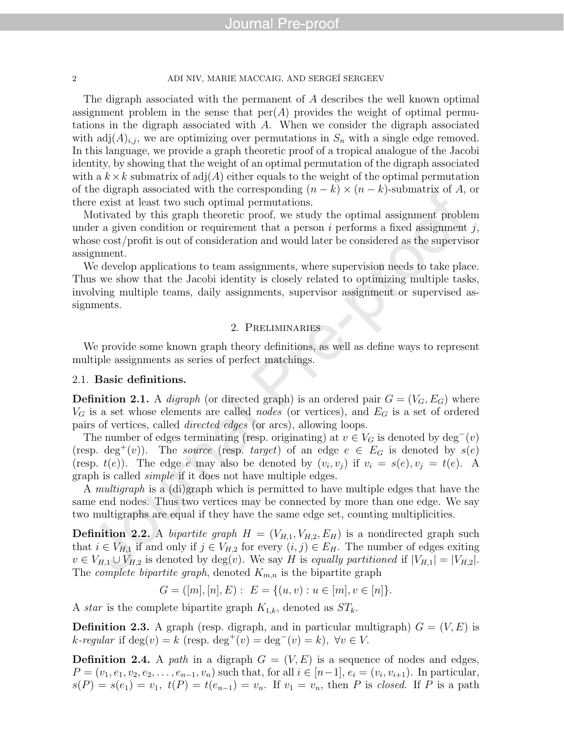#### 2 ADI NIV, MARIE MACCAIG, AND SERGEÏ SERGEEV

The digraph associated with the permanent of A describes the well known optimal assignment problem in the sense that  $per(A)$  provides the weight of optimal permutations in the digraph associated with A. When we consider the digraph associated with  $adj(A)_{i,j}$ , we are optimizing over permutations in  $S_n$  with a single edge removed. In this language, we provide a graph theoretic proof of a tropical analogue of the Jacobi identity, by showing that the weight of an optimal permutation of the digraph associated with a  $k \times k$  submatrix of adj $(A)$  either equals to the weight of the optimal permutation of the digraph associated with the corresponding  $(n - k) \times (n - k)$ -submatrix of A, or there exist at least two such optimal permutations.

Motivated by this graph theoretic proof, we study the optimal assignment problem under a given condition or requirement that a person  $i$  performs a fixed assignment  $j$ , whose cost/profit is out of consideration and would later be considered as the supervisor assignment.

We develop applications to team assignments, where supervision needs to take place. Thus we show that the Jacobi identity is closely related to optimizing multiple tasks, involving multiple teams, daily assignments, supervisor assignment or supervised assignments.

#### 2. Preliminaries

We provide some known graph theory definitions, as well as define ways to represent multiple assignments as series of perfect matchings.

#### 2.1. Basic definitions.

**Definition 2.1.** A *digraph* (or directed graph) is an ordered pair  $G = (V_G, E_G)$  where  $V_G$  is a set whose elements are called *nodes* (or vertices), and  $E_G$  is a set of ordered pairs of vertices, called directed edges (or arcs), allowing loops.

The number of edges terminating (resp. originating) at  $v \in V_G$  is denoted by  $\deg^-(v)$ (resp. deg<sup>+</sup>(v)). The source (resp. target) of an edge  $e \in E_G$  is denoted by  $s(e)$ (resp.  $t(e)$ ). The edge e may also be denoted by  $(v_i, v_j)$  if  $v_i = s(e), v_j = t(e)$ . A graph is called simple if it does not have multiple edges.

A multigraph is a (di)graph which is permitted to have multiple edges that have the same end nodes. Thus two vertices may be connected by more than one edge. We say two multigraphs are equal if they have the same edge set, counting multiplicities.

**Definition 2.2.** A bipartite graph  $H = (V_{H,1}, V_{H,2}, E_H)$  is a nondirected graph such that  $i \in V_{H,1}$  if and only if  $j \in V_{H,2}$  for every  $(i, j) \in E_H$ . The number of edges exiting  $v \in V_{H,1} \cup V_{H,2}$  is denoted by  $deg(v)$ . We say H is equally partitioned if  $|V_{H,1}| = |V_{H,2}|$ . The *complete bipartite graph*, denoted  $K_{m,n}$  is the bipartite graph

 $G = ([m], [n], E) : E = \{(u, v) : u \in [m], v \in [n]\}.$ 

A *star* is the complete bipartite graph  $K_{1,k}$ , denoted as  $ST_k$ .

**Definition 2.3.** A graph (resp. digraph, and in particular multigraph)  $G = (V, E)$  is k-regular if  $\deg(v) = k$  (resp.  $\deg^+(v) = \deg^-(v) = k$ ),  $\forall v \in V$ .

**Definition 2.4.** A path in a digraph  $G = (V, E)$  is a sequence of nodes and edges,  $P = (v_1, e_1, v_2, e_2, \ldots, e_{n-1}, v_n)$  such that, for all  $i \in [n-1], e_i = (v_i, v_{i+1})$ . In particular,  $s(P) = s(e_1) = v_1, t(P) = t(e_{n-1}) = v_n$ . If  $v_1 = v_n$ , then P is closed. If P is a path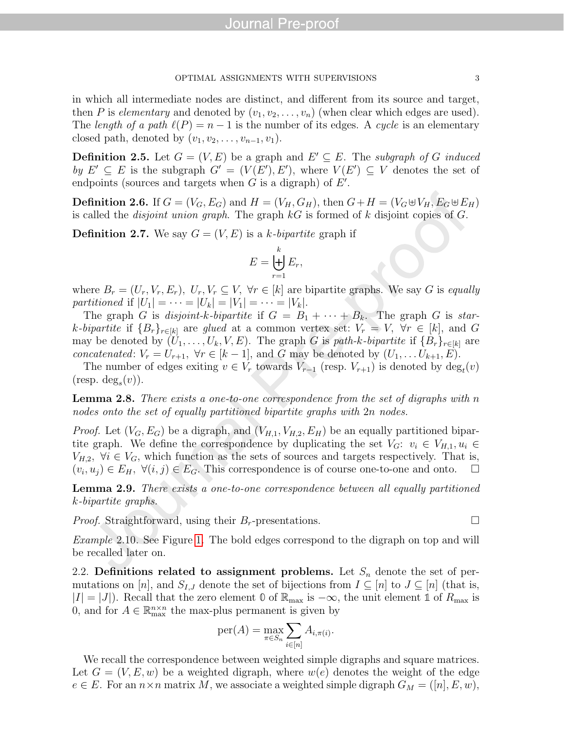in which all intermediate nodes are distinct, and different from its source and target, then P is elementary and denoted by  $(v_1, v_2, \ldots, v_n)$  (when clear which edges are used). The length of a path  $\ell(P) = n - 1$  is the number of its edges. A cycle is an elementary closed path, denoted by  $(v_1, v_2, \ldots, v_{n-1}, v_1)$ .

**Definition 2.5.** Let  $G = (V, E)$  be a graph and  $E' \subseteq E$ . The subgraph of G induced by  $E' \subseteq E$  is the subgraph  $G' = (V(E'), E')$ , where  $V(E') \subseteq V$  denotes the set of endpoints (sources and targets when  $G$  is a digraph) of  $E'$ .

**Definition 2.6.** If  $G = (V_G, E_G)$  and  $H = (V_H, G_H)$ , then  $G + H = (V_G \oplus V_H, E_G \oplus E_H)$ is called the *disjoint union graph*. The graph  $kG$  is formed of k disjoint copies of G.

**Definition 2.7.** We say  $G = (V, E)$  is a k-bipartite graph if

$$
E = \biguplus_{r=1}^{k} E_r,
$$

where  $B_r = (U_r, V_r, E_r)$ ,  $U_r, V_r \subseteq V$ ,  $\forall r \in [k]$  are bipartite graphs. We say G is equally partitioned if  $|U_1| = \cdots = |U_k| = |V_1| = \cdots = |V_k|$ .

The graph G is disjoint-k-bipartite if  $G = B_1 + \cdots + B_k$ . The graph G is stark-bipartite if  ${B_r}_{r \in [k]}$  are glued at a common vertex set:  $V_r = V$ ,  $\forall r \in [k]$ , and G may be denoted by  $(U_1, \ldots, U_k, V, E)$ . The graph G is path-k-bipartite if  $\{B_r\}_{r \in [k]}$  are concatenated:  $V_r = U_{r+1}$ ,  $\forall r \in [k-1]$ , and G may be denoted by  $(U_1, \ldots U_{k+1}, E)$ .

The number of edges exiting  $v \in V_r$  towards  $V_{r-1}$  (resp.  $V_{r+1}$ ) is denoted by  $\deg_t(v)$  $(\text{resp. deg}_{s}(v)).$ 

<span id="page-4-0"></span>**Lemma 2.8.** There exists a one-to-one correspondence from the set of digraphs with n nodes onto the set of equally partitioned bipartite graphs with 2n nodes.

*Proof.* Let  $(V_G, E_G)$  be a digraph, and  $(V_{H,1}, V_{H,2}, E_H)$  be an equally partitioned bipartite graph. We define the correspondence by duplicating the set  $V_G: v_i \in V_{H,1}, u_i \in$  $V_{H,2}$ ,  $\forall i \in V_G$ , which function as the sets of sources and targets respectively. That is,  $(v_i, u_j) \in E_H$ ,  $\forall (i, j) \in E_G$ . This correspondence is of course one-to-one and onto.  $\Box$ 

Lemma 2.9. There exists a one-to-one correspondence between all equally partitioned k-bipartite graphs.

*Proof.* Straightforward, using their  $B_r$ -presentations.

Example 2.10. See Figure [1.](#page-5-0) The bold edges correspond to the digraph on top and will be recalled later on.

2.2. Definitions related to assignment problems. Let  $S_n$  denote the set of permutations on [n], and  $S_{I,J}$  denote the set of bijections from  $I \subseteq [n]$  to  $J \subseteq [n]$  (that is,  $|I| = |J|$ ). Recall that the zero element  $\mathbb{0}$  of  $\mathbb{R}_{\text{max}}$  is  $-\infty$ , the unit element  $\mathbb{1}$  of  $R_{\text{max}}$  is 0, and for  $A \in \mathbb{R}_{\max}^{n \times n}$  the max-plus permanent is given by

$$
\mathrm{per}(A) = \max_{\pi \in S_n} \sum_{i \in [n]} A_{i, \pi(i)}.
$$

We recall the correspondence between weighted simple digraphs and square matrices. Let  $G = (V, E, w)$  be a weighted digraph, where  $w(e)$  denotes the weight of the edge  $e \in E$ . For an  $n \times n$  matrix M, we associate a weighted simple digraph  $G_M = ([n], E, w)$ ,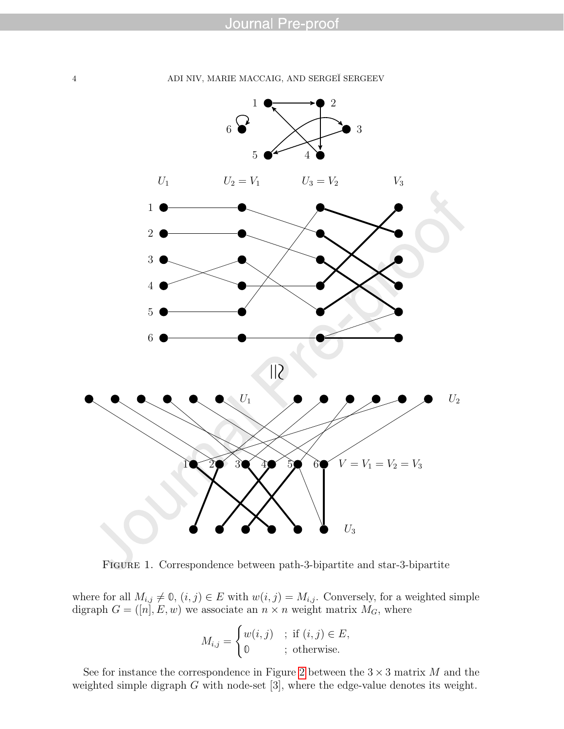

<span id="page-5-0"></span>Figure 1. Correspondence between path-3-bipartite and star-3-bipartite

where for all  $M_{i,j} \neq \emptyset$ ,  $(i, j) \in E$  with  $w(i, j) = M_{i,j}$ . Conversely, for a weighted simple digraph  $G = ([n], E, w)$  we associate an  $n \times n$  weight matrix  $M_G$ , where

$$
M_{i,j} = \begin{cases} w(i,j) & ; \text{ if } (i,j) \in E, \\ \mathbb{0} & ; \text{ otherwise.} \end{cases}
$$

See for instance the correspondence in Figure [2](#page-6-0) between the  $3 \times 3$  matrix M and the weighted simple digraph G with node-set [3], where the edge-value denotes its weight.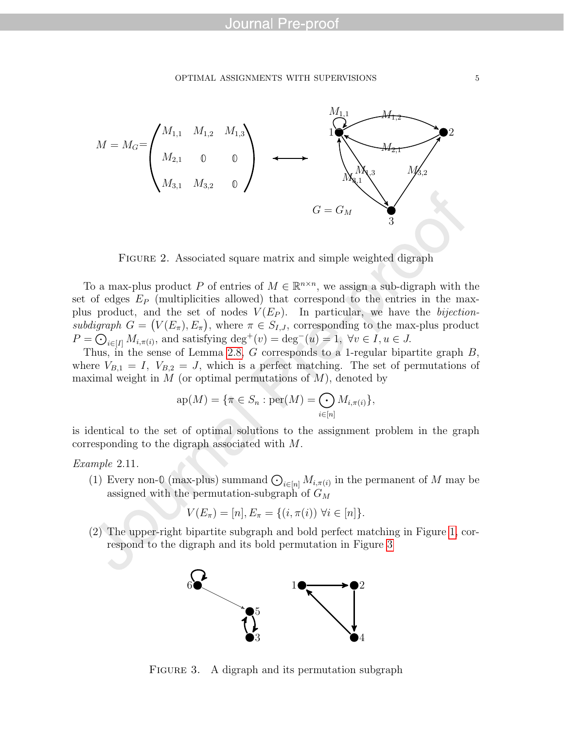

<span id="page-6-0"></span>FIGURE 2. Associated square matrix and simple weighted digraph

To a max-plus product P of entries of  $M \in \mathbb{R}^{n \times n}$ , we assign a sub-digraph with the set of edges  $E_P$  (multiplicities allowed) that correspond to the entries in the maxplus product, and the set of nodes  $V(E_P)$ . In particular, we have the *bijection*subdigraph  $G = (V(E_{\pi}), E_{\pi})$ , where  $\pi \in S_{I,J}$ , corresponding to the max-plus product  $P = \bigodot_{i \in [I]} M_{i, \pi(i)}$ , and satisfying  $\deg^+(v) = \deg^-(u) = 1$ ,  $\forall v \in I, u \in J$ .

Thus, in the sense of Lemma [2.8,](#page-4-0) G corresponds to a 1-regular bipartite graph B, where  $V_{B,1} = I$ ,  $V_{B,2} = J$ , which is a perfect matching. The set of permutations of maximal weight in  $M$  (or optimal permutations of  $M$ ), denoted by

$$
ap(M) = \{\pi \in S_n : per(M) = \bigodot_{i \in [n]} M_{i, \pi(i)}\},\
$$

is identical to the set of optimal solutions to the assignment problem in the graph corresponding to the digraph associated with M.

#### Example 2.11.

(1) Every non- $\mathbb{O}(\max_{i \in [n]} M_{i, \pi(i)}$  in the permanent of M may be assigned with the permutation-subgraph of  $G_M$ 

$$
V(E_{\pi}) = [n], E_{\pi} = \{(i, \pi(i)) \,\,\forall i \in [n]\}.
$$

(2) The upper-right bipartite subgraph and bold perfect matching in Figure [1,](#page-5-0) correspond to the digraph and its bold permutation in Figure [3](#page-6-1)



<span id="page-6-1"></span>FIGURE 3. A digraph and its permutation subgraph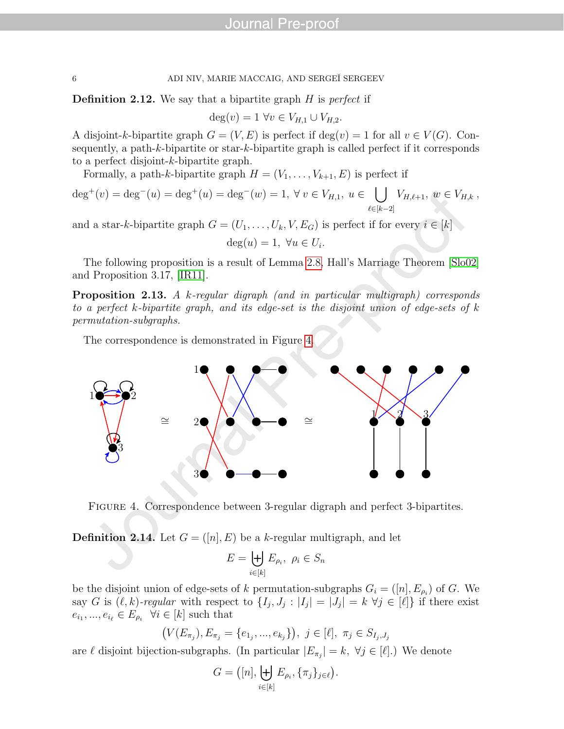**Definition 2.12.** We say that a bipartite graph  $H$  is perfect if

$$
\deg(v) = 1 \,\forall v \in V_{H,1} \cup V_{H,2}.
$$

A disjoint-k-bipartite graph  $G = (V, E)$  is perfect if  $\deg(v) = 1$  for all  $v \in V(G)$ . Consequently, a path-k-bipartite or star-k-bipartite graph is called perfect if it corresponds to a perfect disjoint-k-bipartite graph.

Formally, a path-k-bipartite graph  $H = (V_1, \ldots, V_{k+1}, E)$  is perfect if

$$
\deg^+(v) = \deg^-(u) = \deg^+(u) = \deg^-(w) = 1, \ \forall \ v \in V_{H,1}, \ u \in \bigcup_{\ell \in [k-2]} V_{H,\ell+1}, \ w \in V_{H,k},
$$

and a star-k-bipartite graph  $G = (U_1, \ldots, U_k, V, E_G)$  is perfect if for every  $i \in [k]$ 

$$
\deg(u) = 1, \ \forall u \in U_i.
$$

The following proposition is a result of Lemma [2.8,](#page-4-0) Hall's Marriage Theorem [\[Slo02\]](#page-26-0) and Proposition 3.17, [\[IR11\]](#page-25-3).

Proposition 2.13. A k-regular digraph (and in particular multigraph) corresponds to a perfect k-bipartite graph, and its edge-set is the disjoint union of edge-sets of k permutation-subgraphs.

The correspondence is demonstrated in Figure [4.](#page-7-0)



<span id="page-7-0"></span>FIGURE 4. Correspondence between 3-regular digraph and perfect 3-bipartites.

**Definition 2.14.** Let  $G = ([n], E)$  be a k-regular multigraph, and let

$$
E = \biguplus_{i \in [k]} E_{\rho_i}, \ \rho_i \in S_n
$$

be the disjoint union of edge-sets of k permutation-subgraphs  $G_i = ([n], E_{\rho_i})$  of G. We say G is  $(\ell, k)$ -regular with respect to  $\{I_j, J_j : |I_j| = |J_j| = k \; \forall j \in [\ell]\}$  if there exist  $e_{i_1},...,e_{i_\ell} \in E_{\rho_i} \ \ \forall i \in [k] \text{ such that}$ 

$$
(V(E_{\pi_j}), E_{\pi_j} = \{e_{1_j}, ..., e_{k_j}\}), \ j \in [\ell], \ \pi_j \in S_{I_j, J_j}
$$

are  $\ell$  disjoint bijection-subgraphs. (In particular  $|E_{\pi_j}| = k$ ,  $\forall j \in [\ell]$ .) We denote

$$
G = ([n], \biguplus_{i \in [k]} E_{\rho_i}, \{\pi_j\}_{j \in \ell}).
$$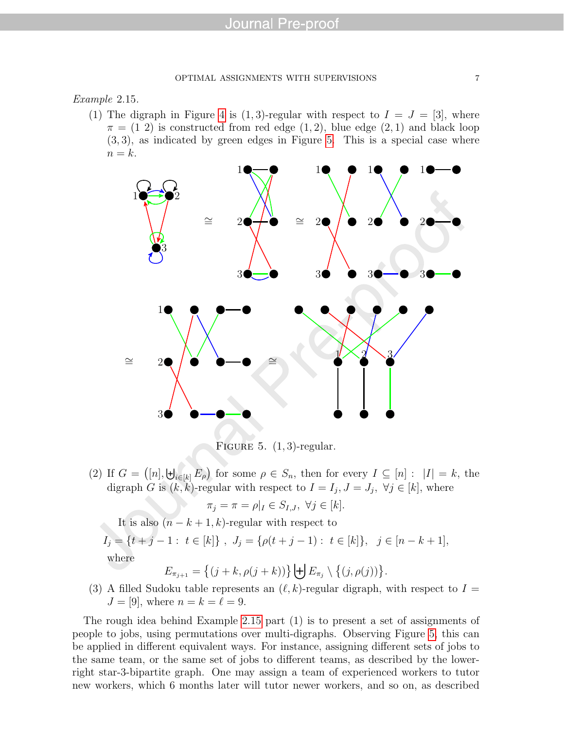#### <span id="page-8-1"></span>Example 2.15.

(1) The digraph in Figure [4](#page-7-0) is (1,3)-regular with respect to  $I = J = [3]$ , where  $\pi = (1\ 2)$  is constructed from red edge  $(1, 2)$ , blue edge  $(2, 1)$  and black loop  $(3, 3)$ , as indicated by green edges in Figure [5.](#page-8-0) This is a special case where  $n = k$ .



<span id="page-8-0"></span>FIGURE 5.  $(1, 3)$ -regular.

(2) If  $G = ([n], \biguplus_{i \in [k]} E_{\rho})$  for some  $\rho \in S_n$ , then for every  $I \subseteq [n] : |I| = k$ , the digraph G is  $(k, k)$ -regular with respect to  $I = I_j, J = J_j, \forall j \in [k]$ , where

$$
\pi_j = \pi = \rho|_I \in S_{I,J}, \ \forall j \in [k].
$$

It is also  $(n - k + 1, k)$ -regular with respect to  $I_j = \{t + j - 1: t \in [k]\}, J_j = \{\rho(t + j - 1): t \in [k]\}, j \in [n - k + 1],$ where

$$
E_{\pi_{j+1}} = \left\{ (j+k, \rho(j+k)) \right\} \biguplus E_{\pi_j} \setminus \left\{ (j, \rho(j)) \right\}.
$$

(3) A filled Sudoku table represents an  $(\ell, k)$ -regular digraph, with respect to  $I =$  $J = [9]$ , where  $n = k = \ell = 9$ .

The rough idea behind Example [2.15](#page-8-1) part (1) is to present a set of assignments of people to jobs, using permutations over multi-digraphs. Observing Figure [5,](#page-8-0) this can be applied in different equivalent ways. For instance, assigning different sets of jobs to the same team, or the same set of jobs to different teams, as described by the lowerright star-3-bipartite graph. One may assign a team of experienced workers to tutor new workers, which 6 months later will tutor newer workers, and so on, as described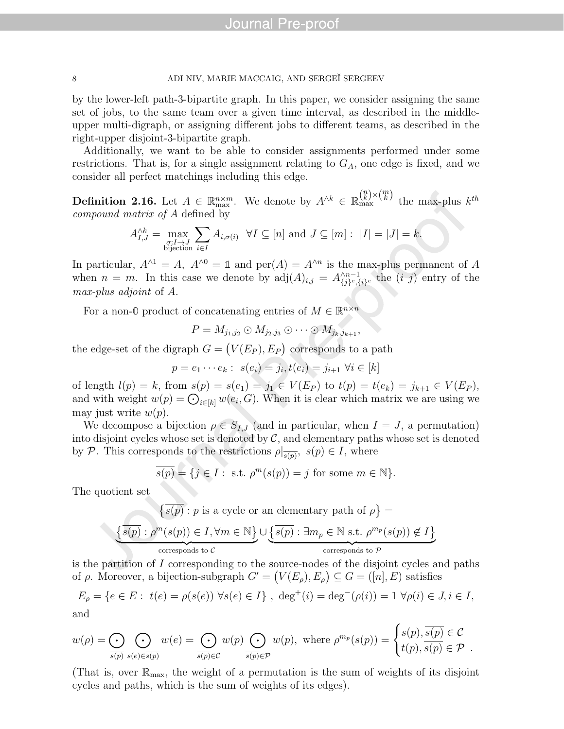by the lower-left path-3-bipartite graph. In this paper, we consider assigning the same set of jobs, to the same team over a given time interval, as described in the middleupper multi-digraph, or assigning different jobs to different teams, as described in the right-upper disjoint-3-bipartite graph.

Additionally, we want to be able to consider assignments performed under some restrictions. That is, for a single assignment relating to  $G_A$ , one edge is fixed, and we consider all perfect matchings including this edge.

**Definition 2.16.** Let  $A \in \mathbb{R}_{\max}^{n \times m}$ . We denote by  $A^{\wedge k} \in \mathbb{R}_{\max}^{\binom{n}{k} \times \binom{m}{k}}$  the max-plus  $k^{th}$ compound matrix of A defined by

$$
A_{I,J}^{\wedge k} = \max_{\substack{\sigma: I \to J \\ \text{bijection}}} \sum_{i \in I} A_{i,\sigma(i)} \quad \forall I \subseteq [n] \text{ and } J \subseteq [m]: \ |I| = |J| = k.
$$

In particular,  $A^{\wedge 1} = A$ ,  $A^{\wedge 0} = \mathbb{1}$  and  $\text{per}(A) = A^{\wedge n}$  is the max-plus permanent of A when  $n = m$ . In this case we denote by  $adj(A)_{i,j} = A_{ij}^{\wedge n-1}$  $\chi_{i}^{n-1}$  (i) entry of the max-plus adjoint of A.

For a non- $\mathbb{O}$  product of concatenating entries of  $M \in \mathbb{R}^{n \times n}$ 

$$
P=M_{j_1,j_2}\odot M_{j_2,j_3}\odot\cdots\odot M_{j_k,j_{k+1}},
$$

the edge-set of the digraph  $G = (V(E_P), E_P)$  corresponds to a path

$$
p = e_1 \cdots e_k : s(e_i) = j_i, t(e_i) = j_{i+1} \ \forall i \in [k]
$$

of length  $l(p) = k$ , from  $s(p) = s(e_1) = j_1 \in V(E_P)$  to  $t(p) = t(e_k) = j_{k+1} \in V(E_P)$ , and with weight  $w(p) = \bigodot_{i \in [k]} w(e_i, G)$ . When it is clear which matrix we are using we may just write  $w(p)$ .

We decompose a bijection  $\rho \in S_{I,J}$  (and in particular, when  $I = J$ , a permutation) into disjoint cycles whose set is denoted by  $\mathcal{C}$ , and elementary paths whose set is denoted by P. This corresponds to the restrictions  $\rho|_{\overline{s(p)}}$ ,  $s(p) \in I$ , where

$$
\overline{s(p)} = \{ j \in I : \text{ s.t. } \rho^m(s(p)) = j \text{ for some } m \in \mathbb{N} \}.
$$

The quotient set

$$
\{\overline{s(p)} : p \text{ is a cycle or an elementary path of } \rho\} = \underbrace{\{s(p) : \rho^m(s(p)) \in I, \forall m \in \mathbb{N}\}}_{\text{corresponds to } C} \cup \underbrace{\{\overline{s(p)} : \exists m_p \in \mathbb{N} \text{ s.t. } \rho^{m_p}(s(p)) \notin I\}}_{\text{corresponds to } \mathcal{P}}
$$

is the partition of I corresponding to the source-nodes of the disjoint cycles and paths of  $\rho$ . Moreover, a bijection-subgraph  $G' = (V(E_{\rho}), E_{\rho}) \subseteq G = ([n], E)$  satisfies

$$
E_{\rho} = \{ e \in E : t(e) = \rho(s(e)) \,\,\forall s(e) \in I \} \,\,, \,\, \deg^{+}(i) = \deg^{-}(\rho(i)) = 1 \,\,\forall \rho(i) \in J, i \in I,
$$

and

$$
w(\rho) = \bigodot_{\overline{s(p)}} \bigodot_{s(e) \in \overline{s(p)}} w(e) = \bigodot_{\overline{s(p)} \in \mathcal{C}} w(p) \bigodot_{\overline{s(p)} \in \mathcal{P}} w(p), \text{ where } \rho^{m_p}(s(p)) = \begin{cases} s(p), \overline{s(p)} \in \mathcal{C} \\ t(p), \overline{s(p)} \in \mathcal{P} \end{cases}.
$$

(That is, over  $\mathbb{R}_{\text{max}}$ , the weight of a permutation is the sum of weights of its disjoint cycles and paths, which is the sum of weights of its edges).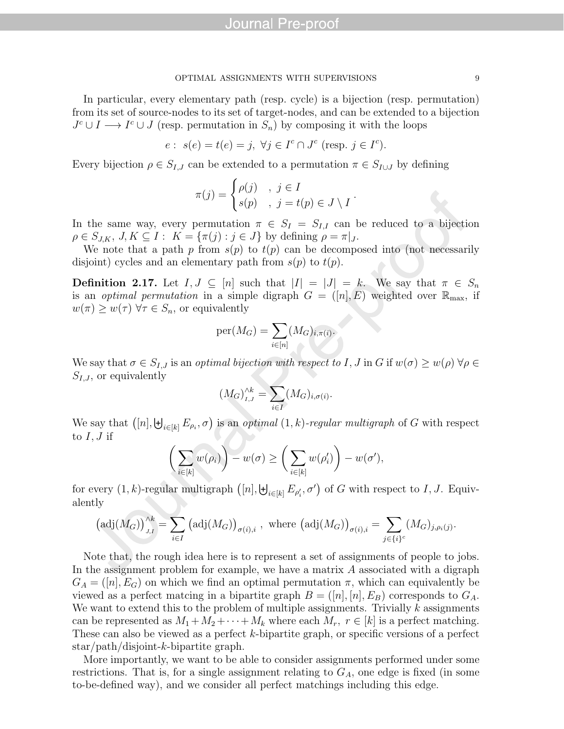In particular, every elementary path (resp. cycle) is a bijection (resp. permutation) from its set of source-nodes to its set of target-nodes, and can be extended to a bijection  $J^c \cup I \longrightarrow I^c \cup J$  (resp. permutation in  $S_n$ ) by composing it with the loops

$$
e: s(e) = t(e) = j, \ \forall j \in I^c \cap J^c \ \text{(resp. } j \in I^c\text{)}.
$$

Every bijection  $\rho \in S_{I,J}$  can be extended to a permutation  $\pi \in S_{I\cup J}$  by defining

$$
\pi(j) = \begin{cases} \rho(j) & , j \in I \\ s(p) & , j = t(p) \in J \setminus I \end{cases}.
$$

In the same way, every permutation  $\pi \in S_I = S_{I,I}$  can be reduced to a bijection  $\rho \in S_{J,K}, J, K \subseteq I : K = {\pi(j) : j \in J}$  by defining  $\rho = \pi|_J$ .

We note that a path p from  $s(p)$  to  $t(p)$  can be decomposed into (not necessarily disjoint) cycles and an elementary path from  $s(p)$  to  $t(p)$ .

**Definition 2.17.** Let  $I, J \subseteq [n]$  such that  $|I| = |J| = k$ . We say that  $\pi \in S_n$ is an *optimal permutation* in a simple digraph  $G = ([n], E)$  weighted over  $\mathbb{R}_{\text{max}}$ , if  $w(\pi) \geq w(\tau) \,\forall \tau \in S_n$ , or equivalently

$$
\text{per}(M_G) = \sum_{i \in [n]} (M_G)_{i, \pi(i)}.
$$

We say that  $\sigma \in S_{I,J}$  is an *optimal bijection with respect to* I, J in G if  $w(\sigma) \geq w(\rho) \,\forall \rho \in \mathbb{R}$  $S_{I,J}$ , or equivalently

$$
(M_G)_{I,J}^{\wedge k} = \sum_{i \in I} (M_G)_{i,\sigma(i)}.
$$

We say that  $([n], \biguplus_{i \in [k]} E_{\rho_i}, \sigma)$  is an *optimal*  $(1, k)$ -regular multigraph of G with respect to  $I, J$  if

$$
\bigg(\sum_{i\in[k]} w(\rho_i)\bigg) - w(\sigma) \ge \bigg(\sum_{i\in[k]} w(\rho'_i)\bigg) - w(\sigma'),
$$

for every  $(1, k)$ -regular multigraph  $([n], \biguplus_{i \in [k]} E_{\rho'_i}, \sigma')$  of G with respect to I, J. Equivalently

$$
\left(\mathrm{adj}(M_G)\right)_{J,I}^{\wedge k} = \sum_{i \in I} \left(\mathrm{adj}(M_G)\right)_{\sigma(i),i}, \text{ where } \left(\mathrm{adj}(M_G)\right)_{\sigma(i),i} = \sum_{j \in \{i\}^c} (M_G)_{j,\rho_i(j)}.
$$

Note that, the rough idea here is to represent a set of assignments of people to jobs. In the assignment problem for example, we have a matrix A associated with a digraph  $G_A = ([n], E_G)$  on which we find an optimal permutation  $\pi$ , which can equivalently be viewed as a perfect matcing in a bipartite graph  $B = ([n], [n], E_B)$  corresponds to  $G_A$ . We want to extend this to the problem of multiple assignments. Trivially  $k$  assignments can be represented as  $M_1 + M_2 + \cdots + M_k$  where each  $M_r$ ,  $r \in [k]$  is a perfect matching. These can also be viewed as a perfect k-bipartite graph, or specific versions of a perfect star/path/disjoint-k-bipartite graph.

More importantly, we want to be able to consider assignments performed under some restrictions. That is, for a single assignment relating to  $G_A$ , one edge is fixed (in some to-be-defined way), and we consider all perfect matchings including this edge.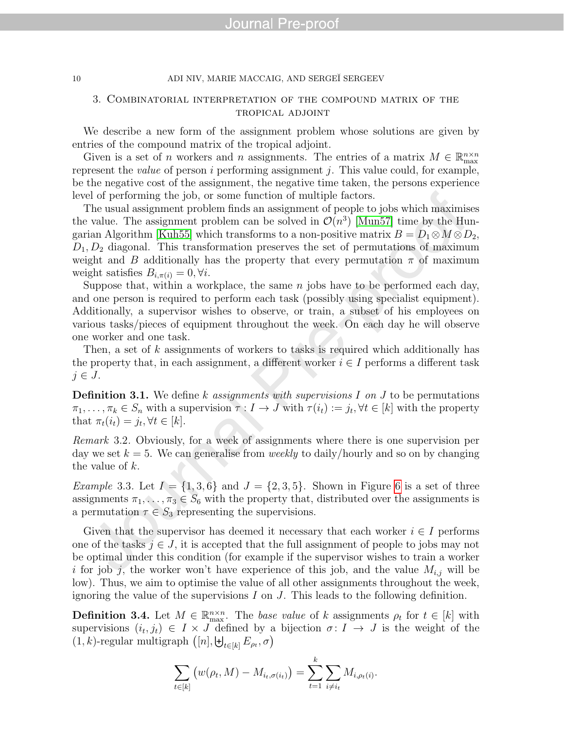#### 3. Combinatorial interpretation of the compound matrix of the tropical adjoint

We describe a new form of the assignment problem whose solutions are given by entries of the compound matrix of the tropical adjoint.

Given is a set of n workers and n assignments. The entries of a matrix  $M \in \mathbb{R}_{\max}^{n \times n}$ represent the *value* of person  $i$  performing assignment  $j$ . This value could, for example, be the negative cost of the assignment, the negative time taken, the persons experience level of performing the job, or some function of multiple factors.

The usual assignment problem finds an assignment of people to jobs which maximises the value. The assignment problem can be solved in  $\mathcal{O}(n^3)$  [\[Mun57\]](#page-25-4) time by the Hun-garian Algorithm [\[Kuh55\]](#page-25-5) which transforms to a non-positive matrix  $B = D_1 \otimes M \otimes D_2$ ,  $D_1, D_2$  diagonal. This transformation preserves the set of permutations of maximum weight and B additionally has the property that every permutation  $\pi$  of maximum weight satisfies  $B_{i,\pi(i)} = 0, \forall i$ .

Suppose that, within a workplace, the same  $n$  jobs have to be performed each day, and one person is required to perform each task (possibly using specialist equipment). Additionally, a supervisor wishes to observe, or train, a subset of his employees on various tasks/pieces of equipment throughout the week. On each day he will observe one worker and one task.

Then, a set of k assignments of workers to tasks is required which additionally has the property that, in each assignment, a different worker  $i \in I$  performs a different task  $j \in J$ .

**Definition 3.1.** We define k assignments with supervisions I on J to be permutations  $\pi_1, \ldots, \pi_k \in S_n$  with a supervision  $\tau : I \to J$  with  $\tau(i_t) := j_t, \forall t \in [k]$  with the property that  $\pi_t(i_t) = j_t, \forall t \in [k]$ .

Remark 3.2. Obviously, for a week of assignments where there is one supervision per day we set  $k = 5$ . We can generalise from *weekly* to daily/hourly and so on by changing the value of k.

*Example* 3.3. Let  $I = \{1, 3, 6\}$  $I = \{1, 3, 6\}$  $I = \{1, 3, 6\}$  and  $J = \{2, 3, 5\}$ . Shown in Figure 6 is a set of three assignments  $\pi_1, \ldots, \pi_3 \in S_6$  with the property that, distributed over the assignments is a permutation  $\tau \in S_3$  representing the supervisions.

Given that the supervisor has deemed it necessary that each worker  $i \in I$  performs one of the tasks  $j \in J$ , it is accepted that the full assignment of people to jobs may not be optimal under this condition (for example if the supervisor wishes to train a worker i for job j, the worker won't have experience of this job, and the value  $M_{i,j}$  will be low). Thus, we aim to optimise the value of all other assignments throughout the week, ignoring the value of the supervisions  $I$  on  $J$ . This leads to the following definition.

**Definition 3.4.** Let  $M \in \mathbb{R}_{\max}^{n \times n}$ . The base value of k assignments  $\rho_t$  for  $t \in [k]$  with supervisions  $(i_t, j_t) \in I \times J$  defined by a bijection  $\sigma: I \to J$  is the weight of the  $(1, k)$ -regular multigraph  $([n], \biguplus_{t \in [k]} E_{\rho_t}, \sigma)$ 

$$
\sum_{t \in [k]} (w(\rho_t, M) - M_{i_t, \sigma(i_t)}) = \sum_{t=1}^k \sum_{i \neq i_t} M_{i, \rho_t(i)}.
$$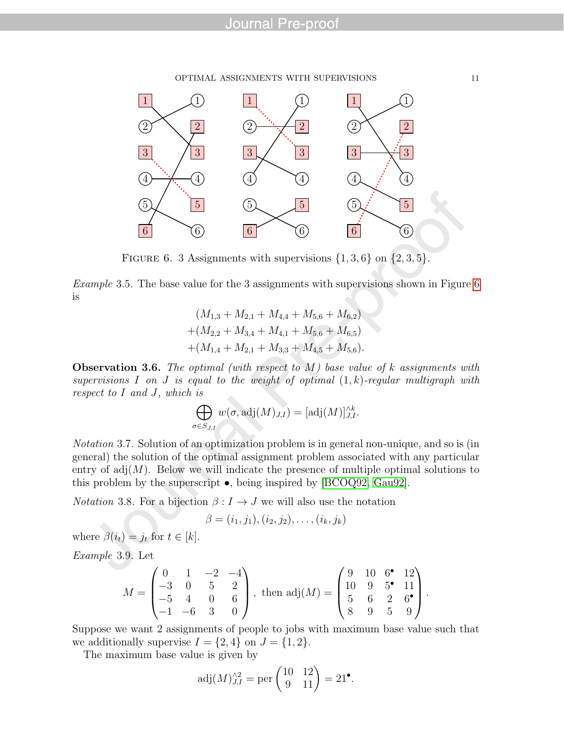#### OPTIMAL ASSIGNMENTS WITH SUPERVISIONS 11



<span id="page-12-0"></span>FIGURE 6. 3 Assignments with supervisions  $\{1, 3, 6\}$  on  $\{2, 3, 5\}$ .

Example 3.5. The base value for the 3 assignments with supervisions shown in Figure [6](#page-12-0) is

> $(M_{1,3} + M_{2,1} + M_{4,4} + M_{5,6} + M_{6,2})$  $+(M_{2,2}+M_{3,4}+M_{4,1}+M_{5,6}+M_{6,5})$  $+(M_{1,4} + M_{2,1} + M_{3,3} + M_{4,5} + M_{5,6}).$

**Observation 3.6.** The optimal (with respect to  $M$ ) base value of k assignments with supervisions I on J is equal to the weight of optimal  $(1, k)$ -regular multigraph with respect to I and J, which is

$$
\bigoplus_{\sigma \in S_{J,I}} w(\sigma, \text{adj}(M)_{J,I}) = [\text{adj}(M)]_{J,I}^{\wedge k}.
$$

Notation 3.7. Solution of an optimization problem is in general non-unique, and so is (in general) the solution of the optimal assignment problem associated with any particular entry of  $adj(M)$ . Below we will indicate the presence of multiple optimal solutions to this problem by the superscript  $\bullet$ , being inspired by [\[BCOQ92,](#page-25-6) [Gau92\]](#page-25-7).

*Notation* 3.8. For a bijection  $\beta: I \to J$  we will also use the notation

$$
\beta = (i_1, j_1), (i_2, j_2), \ldots, (i_k, j_k)
$$

where  $\beta(i_t) = j_t$  for  $t \in [k]$ .

<span id="page-12-1"></span>Example 3.9. Let

$$
M = \begin{pmatrix} 0 & 1 & -2 & -4 \\ -3 & 0 & 5 & 2 \\ -5 & 4 & 0 & 6 \\ -1 & -6 & 3 & 0 \end{pmatrix}, \text{ then } \text{adj}(M) = \begin{pmatrix} 9 & 10 & 6^{\bullet} & 12 \\ 10 & 9 & 5^{\bullet} & 11 \\ 5 & 6 & 2 & 6^{\bullet} \\ 8 & 9 & 5 & 9 \end{pmatrix}.
$$

Suppose we want 2 assignments of people to jobs with maximum base value such that we additionally supervise  $I = \{2, 4\}$  on  $J = \{1, 2\}$ .

The maximum base value is given by

$$
adj(M)_{J,I}^{\wedge 2} = \text{per}\begin{pmatrix} 10 & 12 \\ 9 & 11 \end{pmatrix} = 21^{\bullet}.
$$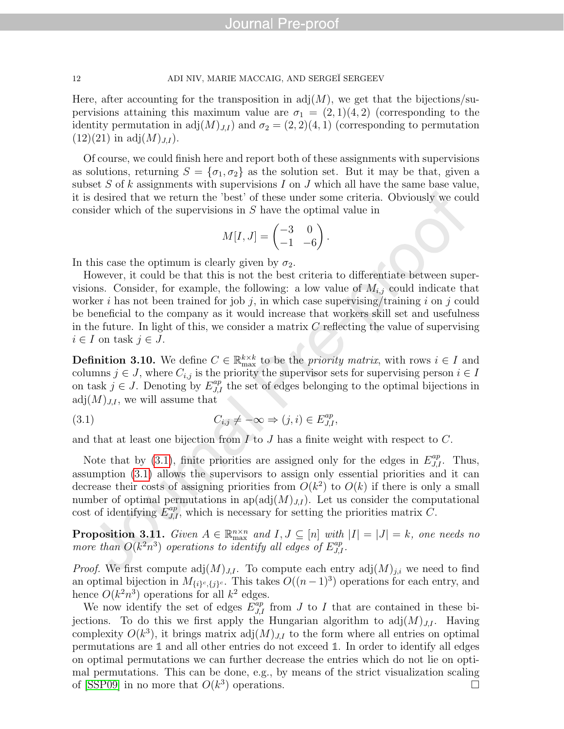Here, after accounting for the transposition in  $\text{adj}(M)$ , we get that the bijections/supervisions attaining this maximum value are  $\sigma_1 = (2, 1)(4, 2)$  (corresponding to the identity permutation in adj $(M)_{J,I}$  and  $\sigma_2 = (2, 2)(4, 1)$  (corresponding to permutation  $(12)(21)$  in adj $(M)_{J,I}$ ).

Of course, we could finish here and report both of these assignments with supervisions as solutions, returning  $S = {\sigma_1, \sigma_2}$  as the solution set. But it may be that, given a subset S of k assignments with supervisions I on J which all have the same base value, it is desired that we return the 'best' of these under some criteria. Obviously we could consider which of the supervisions in S have the optimal value in

$$
M[I, J] = \begin{pmatrix} -3 & 0 \\ -1 & -6 \end{pmatrix}.
$$

In this case the optimum is clearly given by  $\sigma_2$ .

However, it could be that this is not the best criteria to differentiate between supervisions. Consider, for example, the following: a low value of  $M_{i,j}$  could indicate that worker i has not been trained for job j, in which case supervising/training i on j could be beneficial to the company as it would increase that workers skill set and usefulness in the future. In light of this, we consider a matrix  $C$  reflecting the value of supervising  $i \in I$  on task  $j \in J$ .

<span id="page-13-1"></span>**Definition 3.10.** We define  $C \in \mathbb{R}_{\max}^{k \times k}$  to be the *priority matrix*, with rows  $i \in I$  and columns  $j \in J$ , where  $C_{i,j}$  is the priority the supervisor sets for supervising person  $i \in I$ on task  $j \in J$ . Denoting by  $E_{J,I}^{ap}$  the set of edges belonging to the optimal bijections in  $adj(M)_{JJ}$ , we will assume that

<span id="page-13-0"></span>(3.1) 
$$
C_{i,j} \neq -\infty \Rightarrow (j,i) \in E_{J,I}^{ap},
$$

and that at least one bijection from  $I$  to  $J$  has a finite weight with respect to  $C$ .

Note that by [\(3.1\)](#page-13-0), finite priorities are assigned only for the edges in  $E_{J,I}^{ap}$ . Thus, assumption [\(3.1\)](#page-13-0) allows the supervisors to assign only essential priorities and it can decrease their costs of assigning priorities from  $O(k^2)$  to  $O(k)$  if there is only a small number of optimal permutations in  $ap(adj(M)<sub>J,I</sub>)$ . Let us consider the computational cost of identifying  $E_{J,I}^{ap}$ , which is necessary for setting the priorities matrix  $C$ .

**Proposition 3.11.** Given  $A \in \mathbb{R}_{\max}^{n \times n}$  and  $I, J \subseteq [n]$  with  $|I| = |J| = k$ , one needs no more than  $O(k^2n^3)$  operations to identify all edges of  $E_{J,I}^{ap}$ .

*Proof.* We first compute  $\text{adj}(M)_{J,I}$ . To compute each entry  $\text{adj}(M)_{j,i}$  we need to find an optimal bijection in  $M_{\{i\}^c,\{j\}^c}$ . This takes  $O((n-1)^3)$  operations for each entry, and hence  $O(k^2n^3)$  operations for all  $k^2$  edges.

We now identify the set of edges  $\tilde{E}_{J,I}^{ap}$  from J to I that are contained in these bijections. To do this we first apply the Hungarian algorithm to  $\text{adj}(M)_{J,I}$ . Having complexity  $O(k^3)$ , it brings matrix  $adj(M)_{J,I}$  to the form where all entries on optimal permutations are **1** and all other entries do not exceed **1**. In order to identify all edges on optimal permutations we can further decrease the entries which do not lie on optimal permutations. This can be done, e.g., by means of the strict visualization scaling of [\[SSP09\]](#page-26-1) in no more that  $O(k^3)$  operations.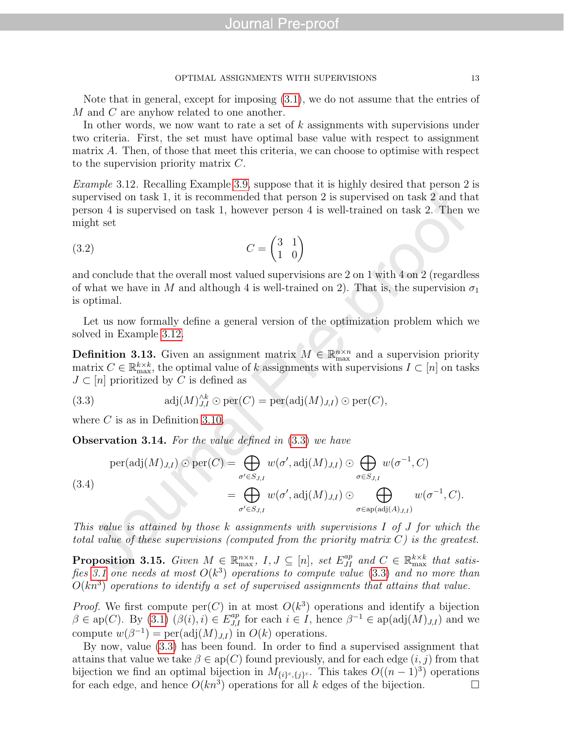Note that in general, except for imposing [\(3.1\)](#page-13-0), we do not assume that the entries of M and C are anyhow related to one another.

In other words, we now want to rate a set of  $k$  assignments with supervisions under two criteria. First, the set must have optimal base value with respect to assignment matrix A. Then, of those that meet this criteria, we can choose to optimise with respect to the supervision priority matrix C.

<span id="page-14-0"></span>Example 3.12. Recalling Example [3.9,](#page-12-1) suppose that it is highly desired that person 2 is supervised on task 1, it is recommended that person 2 is supervised on task 2 and that person 4 is supervised on task 1, however person 4 is well-trained on task 2. Then we might set

<span id="page-14-2"></span>
$$
(3.2)\qquad \qquad C = \begin{pmatrix} 3 & 1 \\ 1 & 0 \end{pmatrix}
$$

and conclude that the overall most valued supervisions are 2 on 1 with 4 on 2 (regardless of what we have in M and although 4 is well-trained on 2). That is, the supervision  $\sigma_1$ is optimal.

Let us now formally define a general version of the optimization problem which we solved in Example [3.12.](#page-14-0)

**Definition 3.13.** Given an assignment matrix  $M \in \mathbb{R}_{\max}^{n \times n}$  and a supervision priority matrix  $C \in \mathbb{R}_{\max}^{k \times k}$ , the optimal value of k assignments with supervisions  $I \subset [n]$  on tasks  $J \subset [n]$  prioritized by C is defined as

<span id="page-14-1"></span>(3.3) 
$$
\text{adj}(M)_{J,I}^{\wedge k} \odot \text{per}(C) = \text{per}(\text{adj}(M)_{J,I}) \odot \text{per}(C),
$$

where  $C$  is as in Definition [3.10.](#page-13-1)

Observation 3.14. For the value defined in [\(3.3\)](#page-14-1) we have

$$
\text{per}(\text{adj}(M)_{J,I}) \odot \text{per}(C) = \bigoplus_{\sigma' \in S_{J,I}} w(\sigma', \text{adj}(M)_{J,I}) \odot \bigoplus_{\sigma \in S_{J,I}} w(\sigma^{-1}, C)
$$
\n
$$
(3.4) = \bigoplus_{\sigma' \in S_{J,I}} w(\sigma', \text{adj}(M)_{J,I}) \odot \bigoplus_{\sigma \in \text{ap}(\text{adj}(A)_{J,I})} w(\sigma^{-1}, C).
$$

This value is attained by those k assignments with supervisions  $I$  of  $J$  for which the total value of these supervisions (computed from the priority matrix  $C$ ) is the greatest.

**Proposition 3.15.** Given  $M \in \mathbb{R}_{\max}^{n \times n}$ ,  $I, J \subseteq [n]$ , set  $E_{JI}^{ap}$  and  $C \in \mathbb{R}_{\max}^{k \times k}$  that satis-fies [3.1](#page-13-0) one needs at most  $O(k^3)$  operations to compute value [\(3.3\)](#page-14-1) and no more than  $O(kn^3)$  operations to identify a set of supervised assignments that attains that value.

*Proof.* We first compute  $\text{per}(C)$  in at most  $O(k^3)$  operations and identify a bijection  $\beta \in \mathrm{ap}(C)$ . By  $(3.1)$   $(\beta(i), i) \in E_{J,I}^{ap}$  for each  $i \in I$ , hence  $\beta^{-1} \in \mathrm{ap}(\mathrm{adj}(M)_{J,I})$  and we compute  $w(\beta^{-1}) = \text{per}(\text{adj}(M)_{J,I})$  in  $O(k)$  operations.

By now, value [\(3.3\)](#page-14-1) has been found. In order to find a supervised assignment that attains that value we take  $\beta \in \text{ap}(C)$  found previously, and for each edge  $(i, j)$  from that bijection we find an optimal bijection in  $M_{\{i\}^c,\{j\}^c}$ . This takes  $O((n-1)^3)$  operations for each edge, and hence  $O(kn^3)$  operations for all k edges of the bijection.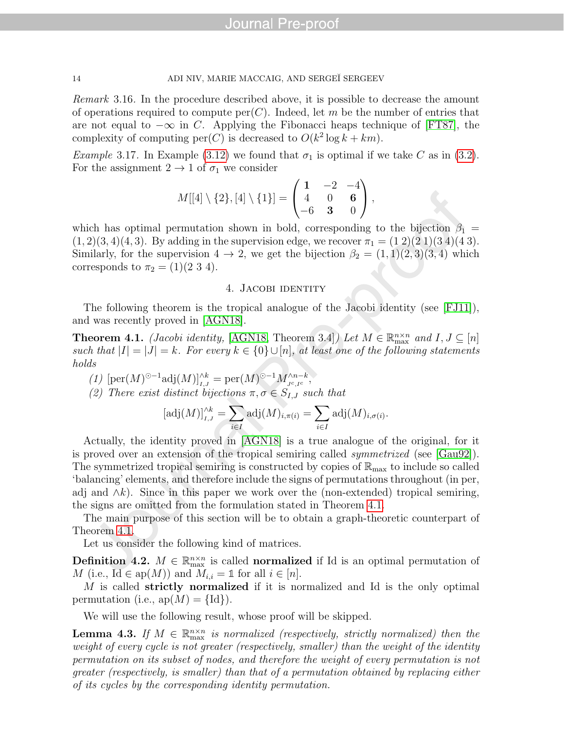Remark 3.16. In the procedure described above, it is possible to decrease the amount of operations required to compute  $per(C)$ . Indeed, let m be the number of entries that are not equal to  $-\infty$  in C. Applying the Fibonacci heaps technique of [\[FT87\]](#page-25-8), the complexity of computing  $per(C)$  is decreased to  $O(k^2 \log k + km)$ .

*Example* 3.17. In Example [\(3.12\)](#page-14-0) we found that  $\sigma_1$  is optimal if we take C as in [\(3.2\)](#page-14-2). For the assignment  $2 \rightarrow 1$  of  $\sigma_1$  we consider

$$
M[[4] \setminus \{2\}, [4] \setminus \{1\}] = \begin{pmatrix} 1 & -2 & -4 \\ 4 & 0 & 6 \\ -6 & 3 & 0 \end{pmatrix},
$$

which has optimal permutation shown in bold, corresponding to the bijection  $\beta_1 =$  $(1, 2)(3, 4)(4, 3)$ . By adding in the supervision edge, we recover  $\pi_1 = (1\ 2)(2\ 1)(3\ 4)(4\ 3)$ . Similarly, for the supervision  $4 \rightarrow 2$ , we get the bijection  $\beta_2 = (1,1)(2,3)(3,4)$  which corresponds to  $\pi_2 = (1)(2 \ 3 \ 4)$ .

#### 4. Jacobi identity

The following theorem is the tropical analogue of the Jacobi identity (see [\[FJ11\]](#page-25-2)), and was recently proved in [\[AGN18\]](#page-25-0).

<span id="page-15-0"></span>**Theorem 4.1.** (Jacobi identity, [\[AGN18,](#page-25-0) Theorem 3.4]) Let  $M \in \mathbb{R}_{\max}^{n \times n}$  and  $I, J \subseteq [n]$ such that  $|I| = |J| = k$ . For every  $k \in \{0\} \cup [n]$ , at least one of the following statements holds

(1)  $[\text{per}(M)^{\odot -1} \text{adj}(M)]_{I,J}^{\wedge k} = \text{per}(M)^{\odot -1} M_{J^c,I^c}^{\wedge n-k},$ 

(2) There exist distinct bijections  $\pi, \sigma \in S_{I,J}$  such that

$$
[\operatorname{adj}(M)]_{I,J}^{\wedge k} = \sum_{i \in I} \operatorname{adj}(M)_{i,\pi(i)} = \sum_{i \in I} \operatorname{adj}(M)_{i,\sigma(i)}.
$$

Actually, the identity proved in [\[AGN18\]](#page-25-0) is a true analogue of the original, for it is proved over an extension of the tropical semiring called symmetrized (see [\[Gau92\]](#page-25-7)). The symmetrized tropical semiring is constructed by copies of  $\mathbb{R}_{\text{max}}$  to include so called 'balancing' elements, and therefore include the signs of permutations throughout (in per, adj and  $\wedge k$ ). Since in this paper we work over the (non-extended) tropical semiring, the signs are omitted from the formulation stated in Theorem [4.1.](#page-15-0)

The main purpose of this section will be to obtain a graph-theoretic counterpart of Theorem [4.1.](#page-15-0)

Let us consider the following kind of matrices.

**Definition** 4.2.  $M \in \mathbb{R}_{\max}^{n \times n}$  is called **normalized** if Id is an optimal permutation of M (i.e.,  $\text{Id} \in \text{ap}(M)$ ) and  $M_{i,i} = \mathbb{1}$  for all  $i \in [n]$ .

M is called strictly normalized if it is normalized and Id is the only optimal permutation (i.e.,  $ap(M) = \{Id\}$ ).

We will use the following result, whose proof will be skipped.

<span id="page-15-1"></span>**Lemma 4.3.** If  $M \in \mathbb{R}_{\max}^{n \times n}$  is normalized (respectively, strictly normalized) then the weight of every cycle is not greater (respectively, smaller) than the weight of the identity permutation on its subset of nodes, and therefore the weight of every permutation is not greater (respectively, is smaller) than that of a permutation obtained by replacing either of its cycles by the corresponding identity permutation.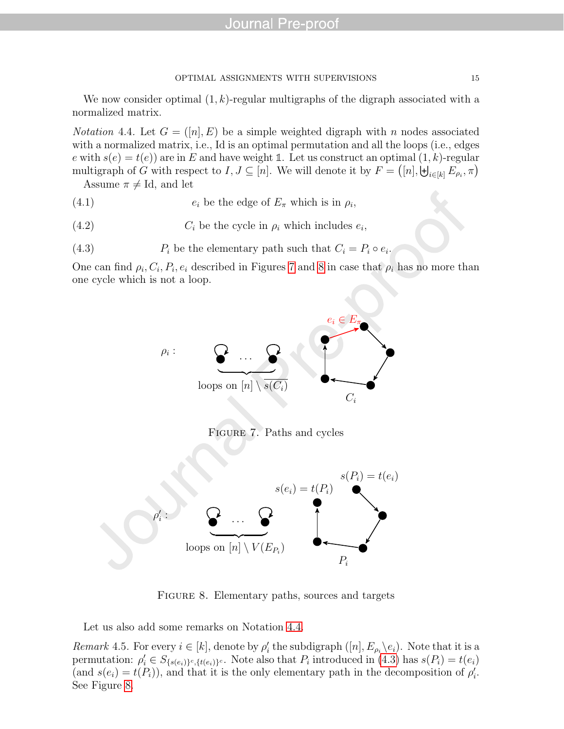We now consider optimal  $(1, k)$ -regular multigraphs of the digraph associated with a normalized matrix.

<span id="page-16-2"></span>*Notation* 4.4. Let  $G = (\lfloor n \rfloor, E)$  be a simple weighted digraph with n nodes associated with a normalized matrix, i.e., Id is an optimal permutation and all the loops (i.e., edges e with  $s(e) = t(e)$  are in E and have weight 1. Let us construct an optimal  $(1, k)$ -regular multigraph of G with respect to  $I, J \subseteq [n]$ . We will denote it by  $F = ([n], \biguplus_{i \in [k]} E_{\rho_i}, \pi)$ 

<span id="page-16-4"></span>Assume  $\pi \neq Id$ , and let

(4.1)  $e_i$  be the edge of  $E_\pi$  which is in  $\rho_i$ ,

- (4.2)  $C_i$  be the cycle in  $\rho_i$  which includes  $e_i$ ,
- (4.3)  $P_i$  be the elementary path such that  $C_i = P_i \circ e_i$ .

One can find  $\rho_i$ ,  $C_i$ ,  $P_i$ ,  $e_i$  described in Figures [7](#page-16-0) and [8](#page-16-1) in case that  $\rho_i$  has no more than one cycle which is not a loop.

<span id="page-16-5"></span><span id="page-16-3"></span>

<span id="page-16-0"></span>Figure 7. Paths and cycles



<span id="page-16-1"></span>FIGURE 8. Elementary paths, sources and targets

Let us also add some remarks on Notation [4.4.](#page-16-2)

Remark 4.5. For every  $i \in [k]$ , denote by  $\rho'_i$  the subdigraph  $([n], E_{\rho_i} \backslash e_i)$ . Note that it is a permutation:  $\rho'_i \in S_{\{s(e_i)\}^c,\{t(e_i)\}^c}$ . Note also that  $P_i$  introduced in [\(4.3\)](#page-16-3) has  $s(P_i) = t(e_i)$ (and  $s(e_i) = t(P_i)$ ), and that it is the only elementary path in the decomposition of  $\rho'_i$ . See Figure [8.](#page-16-1)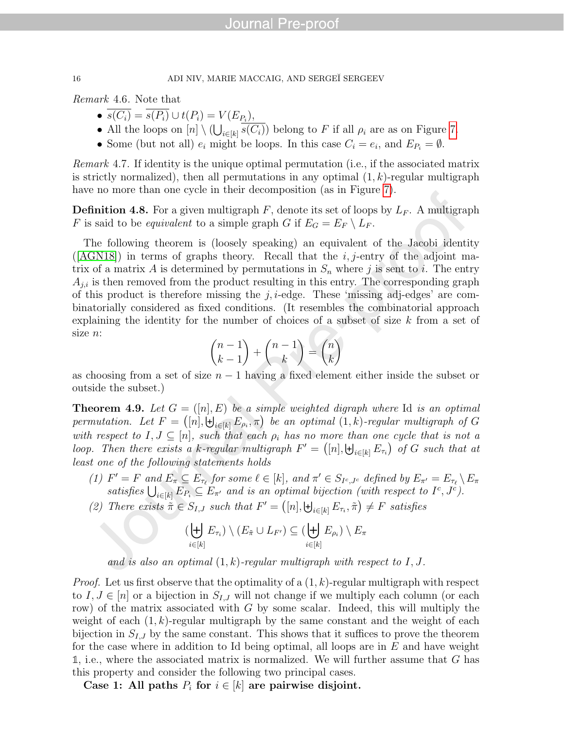Remark 4.6. Note that

- $s(C_i) = s(P_i) \cup t(P_i) = V(E_{P_i}),$
- All the loops on  $[n] \setminus (\bigcup_{i \in [k]} s(C_i))$  belong to F if all  $\rho_i$  are as on Figure [7.](#page-16-0)
- Some (but not all)  $e_i$  might be loops. In this case  $C_i = e_i$ , and  $E_{P_i} = \emptyset$ .

Remark 4.7. If identity is the unique optimal permutation (i.e., if the associated matrix is strictly normalized), then all permutations in any optimal  $(1, k)$ -regular multigraph have no more than one cycle in their decomposition (as in Figure [7\)](#page-16-0).

<span id="page-17-0"></span>**Definition 4.8.** For a given multigraph F, denote its set of loops by  $L_F$ . A multigraph F is said to be *equivalent* to a simple graph G if  $E_G = E_F \setminus L_F$ .

The following theorem is (loosely speaking) an equivalent of the Jacobi identity  $([AGN18])$  $([AGN18])$  $([AGN18])$  in terms of graphs theory. Recall that the *i*, *j*-entry of the adjoint matrix of a matrix A is determined by permutations in  $S_n$  where j is sent to i. The entry  $A_{j,i}$  is then removed from the product resulting in this entry. The corresponding graph of this product is therefore missing the  $j$ ,  $i$ -edge. These 'missing adj-edges' are combinatorially considered as fixed conditions. (It resembles the combinatorial approach explaining the identity for the number of choices of a subset of size  $k$  from a set of size n:

$$
\binom{n-1}{k-1}+\binom{n-1}{k}=\binom{n}{k}
$$

as choosing from a set of size  $n - 1$  having a fixed element either inside the subset or outside the subset.)

<span id="page-17-1"></span>**Theorem 4.9.** Let  $G = ([n], E)$  be a simple weighted digraph where Id is an optimal permutation. Let  $F = ([n], \biguplus_{i \in [k]} E_{\rho_i}, \pi)$  be an optimal  $(1, k)$ -regular multigraph of G with respect to  $I, J \subseteq [n]$ , such that each  $\rho_i$  has no more than one cycle that is not a loop. Then there exists a k-regular multigraph  $F' = ([n], \biguplus_{i \in [k]} E_{\tau_i}$  of G such that at least one of the following statements holds

- (1)  $F' = F$  and  $E_{\pi} \subseteq E_{\tau_{\ell}}$  for some  $\ell \in [k]$ , and  $\pi' \in S_{I^c, J^c}$  defined by  $E_{\pi'} = E_{\tau_{\ell}} \setminus E_{\pi}$ satisfies  $\bigcup_{i\in[k]} E_{P_i} \subseteq E_{\pi'}$  and is an optimal bijection (with respect to  $I^c, J^c$ ).
- (2) There exists  $\tilde{\pi} \in S_{I,J}$  such that  $F' = ([n], \biguplus_{i \in [k]} E_{\tau_i}, \tilde{\pi}) \neq F$  satisfies

$$
(\biguplus_{i\in[k]} E_{\tau_i}) \setminus (E_{\tilde{\pi}} \cup L_{F'}) \subseteq (\biguplus_{i\in[k]} E_{\rho_i}) \setminus E_{\pi}
$$

and is also an optimal  $(1, k)$ -regular multigraph with respect to I, J.

*Proof.* Let us first observe that the optimality of a  $(1, k)$ -regular multigraph with respect to  $I, J \in [n]$  or a bijection in  $S_{I,J}$  will not change if we multiply each column (or each row) of the matrix associated with  $G$  by some scalar. Indeed, this will multiply the weight of each  $(1, k)$ -regular multigraph by the same constant and the weight of each bijection in  $S_{I,J}$  by the same constant. This shows that it suffices to prove the theorem for the case where in addition to Id being optimal, all loops are in  $E$  and have weight **1**, i.e., where the associated matrix is normalized. We will further assume that G has this property and consider the following two principal cases.

Case 1: All paths  $P_i$  for  $i \in [k]$  are pairwise disjoint.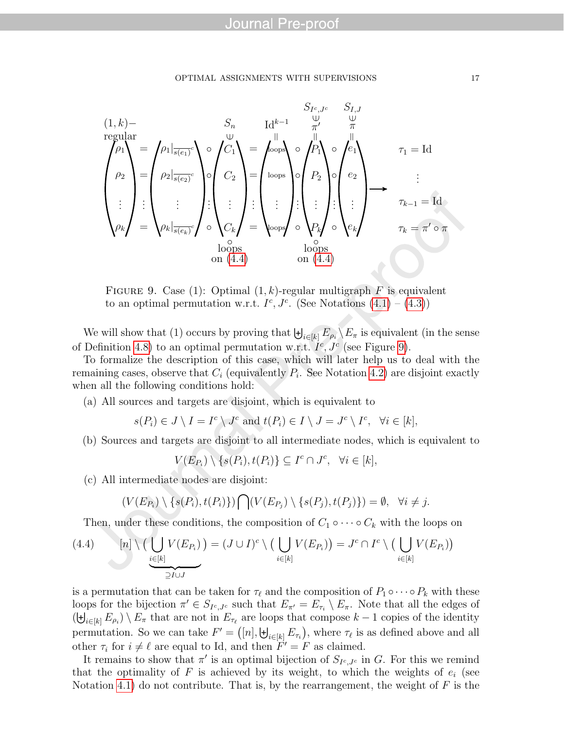#### OPTIMAL ASSIGNMENTS WITH SUPERVISIONS 17

$$
(1, k)-\n\begin{pmatrix}\n\varphi_1 \\
\varphi_2 \\
\vdots \\
\varphi_k\n\end{pmatrix} =\n\begin{pmatrix}\n\rho_1 \big|_{\overline{s(e_1)}}^{\overline{c}} & S_n & \text{Id}^{k-1} & \overset{\mathbb{U}}{\pi} & S_{I,J} \\
\varphi_1 \big|_{\overline{s(e_1)}}^{\overline{c}} & \varphi_2 \big|_{\overline{s(e_2)}}^{\overline{c}} \\
\vdots & \vdots & \vdots \\
\varphi_k \big|_{\overline{s(e_k)}}^{\overline{c}} & \varphi_2 \big|_{\overline{s(e_k)}}^{\overline{c}}\n\end{pmatrix} \circ\n\begin{pmatrix}\nC_1 \\
C_2 \\
\vdots \\
C_k\n\end{pmatrix} =\n\begin{pmatrix}\n\log_2 \big|_{\text{loops}} & \log_2 \big|_{\overline{c_1}} \\
\log_2 \big|_{\overline{c_2}} & \log_2 \big|_{\overline{c_2}} \\
\vdots & \vdots & \vdots \\
\log_2 \big|_{\overline{c_2}}\n\end{pmatrix} \circ\n\begin{pmatrix}\n\varphi_1 \\
\varphi_2 \\
\vdots \\
\varphi_k\n\end{pmatrix} =\n\begin{pmatrix}\n\log_2 \big|_{\overline{s(e_k)}}^{\overline{c}} & \log_2 \big|_{\overline{c_2}} \\
\log_2 \big|_{\overline{c_2}} & \log_2 \big|_{\overline{c_2}} \\
\vdots & \vdots & \vdots \\
\log_2 \big|_{\overline{c_2}}\n\end{pmatrix} \circ\n\begin{pmatrix}\n\varphi_1 \\
\varphi_2 \\
\vdots \\
\varphi_k\n\end{pmatrix} =\n\begin{pmatrix}\n\varphi_1 \\
\varphi_2 \\
\vdots \\
\varphi_k\n\end{pmatrix}
$$
\n
$$
\text{no} \quad \text{no} \quad \text{no} \quad \text{no} \quad \text{no} \quad \text{no} \quad \text{no} \quad \text{no} \quad \text{no} \quad \text{no} \quad \text{no} \quad \text{no} \quad \text{no} \quad \text{no} \quad \text{no} \quad \text{no} \quad \text{no} \quad \text{no
$$

<span id="page-18-1"></span>FIGURE 9. Case (1): Optimal  $(1, k)$ -regular multigraph F is equivalent to an optimal permutation w.r.t.  $I^c$ ,  $J^c$ . (See Notations  $(4.1) - (4.3)$  $(4.1) - (4.3)$  $(4.1) - (4.3)$ )

We will show that (1) occurs by proving that  $\biguplus_{i\in[k]} E_{\rho_i} \setminus E_{\pi}$  is equivalent (in the sense of Definition [4.8\)](#page-17-0) to an optimal permutation w.r.t.  $I^c$ ,  $J^c$  (see Figure [9\)](#page-18-1).

To formalize the description of this case, which will later help us to deal with the remaining cases, observe that  $C_i$  (equivalently  $P_i$ . See Notation [4.2\)](#page-16-5) are disjoint exactly when all the following conditions hold:

<span id="page-18-2"></span>(a) All sources and targets are disjoint, which is equivalent to

$$
s(P_i) \in J \setminus I = I^c \setminus J^c
$$
 and  $t(P_i) \in I \setminus J = J^c \setminus I^c$ ,  $\forall i \in [k]$ ,

(b) Sources and targets are disjoint to all intermediate nodes, which is equivalent to

$$
V(E_{P_i}) \setminus \{s(P_i), t(P_i)\} \subseteq I^c \cap J^c, \ \forall i \in [k],
$$

<span id="page-18-3"></span>(c) All intermediate nodes are disjoint:

$$
(V(E_{P_i}) \setminus \{s(P_i), t(P_i)\}) \bigcap (V(E_{P_j}) \setminus \{s(P_j), t(P_j)\}) = \emptyset, \quad \forall i \neq j.
$$

<span id="page-18-0"></span>Then, under these conditions, the composition of  $C_1 \circ \cdots \circ C_k$  with the loops on

(4.4) 
$$
[n] \setminus \left(\bigcup_{i \in [k]} V(E_{P_i})\right) = (J \cup I)^c \setminus \left(\bigcup_{i \in [k]} V(E_{P_i})\right) = J^c \cap I^c \setminus \left(\bigcup_{i \in [k]} V(E_{P_i})\right)
$$

is a permutation that can be taken for  $\tau_{\ell}$  and the composition of  $P_1 \circ \cdots \circ P_k$  with these loops for the bijection  $\pi' \in S_{I^c,J^c}$  such that  $E_{\pi'} = E_{\tau_i} \setminus E_{\pi}$ . Note that all the edges of  $(\biguplus_{i\in[k]} E_{\rho_i})\setminus E_{\pi}$  that are not in  $E_{\tau_{\ell}}$  are loops that compose  $k-1$  copies of the identity permutation. So we can take  $F' = ([n], \biguplus_{i \in [k]} E_{\tau_i}])$ , where  $\tau_{\ell}$  is as defined above and all other  $\tau_i$  for  $i \neq \ell$  are equal to Id, and then  $\tilde{F}' = F$  as claimed.

It remains to show that  $\pi'$  is an optimal bijection of  $S_{I^c,J^c}$  in G. For this we remind that the optimality of F is achieved by its weight, to which the weights of  $e_i$  (see Notation [4.1\)](#page-16-4) do not contribute. That is, by the rearrangement, the weight of  $F$  is the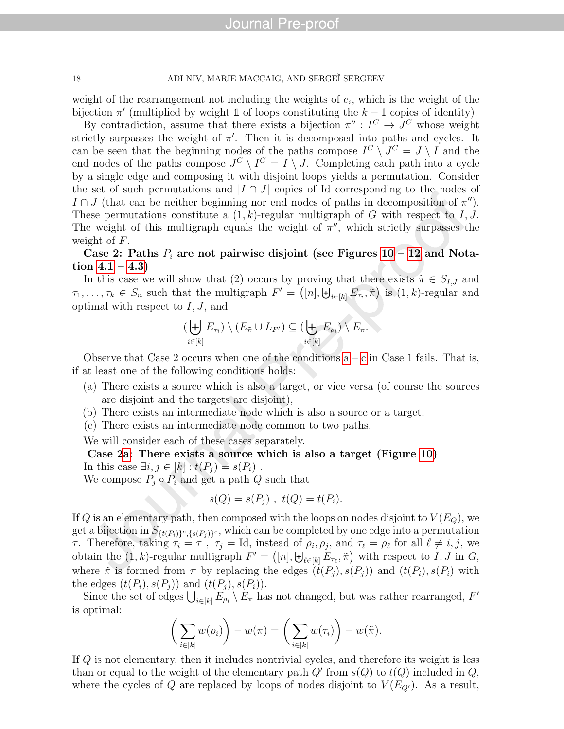#### 18 ADI NIV, MARIE MACCAIG, AND SERGEÏ SERGEEV

weight of the rearrangement not including the weights of  $e_i$ , which is the weight of the bijection  $\pi'$  (multiplied by weight 1 of loops constituting the  $k-1$  copies of identity).

By contradiction, assume that there exists a bijection  $\pi'' : I^C \to J^C$  whose weight strictly surpasses the weight of  $\pi'$ . Then it is decomposed into paths and cycles. It can be seen that the beginning nodes of the paths compose  $I^C \setminus J^C = J \setminus I$  and the end nodes of the paths compose  $J^C \setminus I^C = I \setminus J$ . Completing each path into a cycle by a single edge and composing it with disjoint loops yields a permutation. Consider the set of such permutations and  $|I \cap J|$  copies of Id corresponding to the nodes of I  $\cap$  J (that can be neither beginning nor end nodes of paths in decomposition of  $\pi$ <sup>"</sup>). These permutations constitute a  $(1, k)$ -regular multigraph of G with respect to I, J. The weight of this multigraph equals the weight of  $\pi''$ , which strictly surpasses the weight of F.

Case 2: Paths  $P_i$  are not pairwise disjoint (see Figures [10](#page-20-0) – [12](#page-22-0) and Notation  $4.1 - 4.3$ 

In this case we will show that (2) occurs by proving that there exists  $\tilde{\pi} \in S_{I,J}$  and  $\tau_1,\ldots,\tau_k\in S_n$  such that the multigraph  $F'=\left([n],\biguplus_{i\in[k]}E_{\tau_i},\tilde{\pi}\right)$  is  $(1,k)$ -regular and optimal with respect to  $I, J$ , and

$$
(\biguplus_{i\in[k]} E_{\tau_i})\setminus (E_{\tilde{\pi}}\cup L_{F'})\subseteq (\biguplus_{i\in[k]} E_{\rho_i})\setminus E_{\pi}.
$$

Observe that Case 2 occurs when one of the [c](#page-18-3)onditions  $a - c$  in Case 1 fails. That is, if at least one of the following conditions holds:

- <span id="page-19-0"></span>(a) There exists a source which is also a target, or vice versa (of course the sources are disjoint and the targets are disjoint),
- <span id="page-19-1"></span>(b) There exists an intermediate node which is also a source or a target,
- <span id="page-19-2"></span>(c) There exists an intermediate node common to two paths.

We will consider each of these cases separately.

Case [2a:](#page-19-0) There exists a source which is also a target (Figure [10\)](#page-20-0) In this case  $\exists i, j \in [k] : t(P_i) = s(P_i)$ .

We compose  $P_j \circ P_i$  and get a path Q such that

$$
s(Q) = s(P_j) , t(Q) = t(P_i).
$$

If Q is an elementary path, then composed with the loops on nodes disjoint to  $V(E_0)$ , we get a bijection in  $S_{\{t(P_i)\}^c,\{s(P_j)\}^c}$ , which can be completed by one edge into a permutation τ. Therefore, taking  $τ_i = τ$ ,  $τ_j = Id$ , instead of  $ρ_i, ρ_j$ , and  $τ_\ell = ρ_\ell$  for all  $\ell \neq i, j$ , we obtain the  $(1, k)$ -regular multigraph  $F' = (n], \biguplus_{\ell \in [k]} E_{\tau_{\ell}}, \tilde{\pi}$  with respect to I, J in G, where  $\tilde{\pi}$  is formed from  $\pi$  by replacing the edges  $(t(P_i), s(P_i))$  and  $(t(P_i), s(P_i))$  with the edges  $(t(P_i), s(P_i))$  and  $(t(P_i), s(P_i))$ .

Since the set of edges  $\bigcup_{i\in[k]} E_{\rho_i} \setminus E_{\pi}$  has not changed, but was rather rearranged, F' is optimal:

$$
\bigg(\sum_{i\in[k]} w(\rho_i)\bigg) - w(\pi) = \bigg(\sum_{i\in[k]} w(\tau_i)\bigg) - w(\tilde{\pi}).
$$

If Q is not elementary, then it includes nontrivial cycles, and therefore its weight is less than or equal to the weight of the elementary path  $Q'$  from  $s(Q)$  to  $t(Q)$  included in  $Q$ , where the cycles of Q are replaced by loops of nodes disjoint to  $V(E_{Q'})$ . As a result,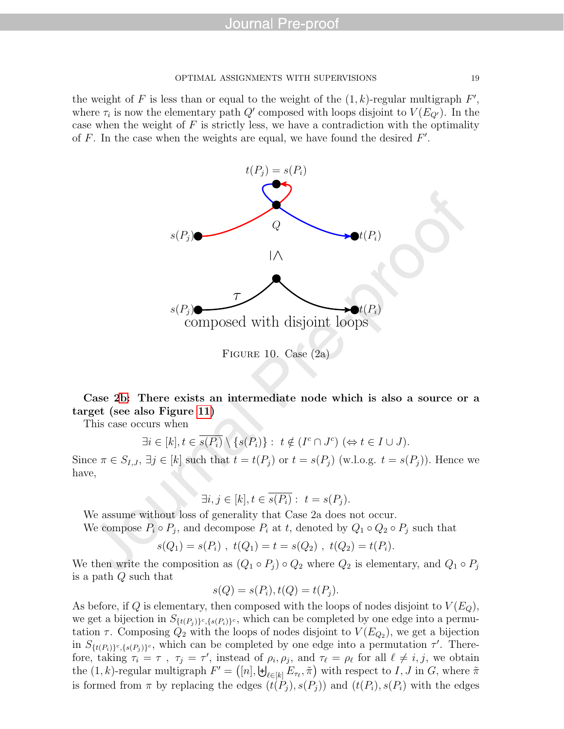the weight of F is less than or equal to the weight of the  $(1, k)$ -regular multigraph  $F'$ , where  $\tau_i$  is now the elementary path  $Q'$  composed with loops disjoint to  $V(E_{Q'})$ . In the case when the weight of  $F$  is strictly less, we have a contradiction with the optimality of  $F$ . In the case when the weights are equal, we have found the desired  $F'$ .



Case [2b:](#page-19-1) There exists an intermediate node which is also a source or a target (see also Figure [11\)](#page-21-0)

This case occurs when

<span id="page-20-0"></span>
$$
\exists i \in [k], t \in \overline{s(P_i)} \setminus \{s(P_i)\} : t \notin (I^c \cap J^c) \ (\Leftrightarrow t \in I \cup J).
$$

Since  $\pi \in S_{I,J}$ ,  $\exists j \in [k]$  such that  $t = t(P_j)$  or  $t = s(P_j)$  (w.l.o.g.  $t = s(P_j)$ ). Hence we have,

$$
\exists i, j \in [k], t \in \overline{s(P_i)}: t = s(P_j).
$$

We assume without loss of generality that Case 2a does not occur.

We compose  $P_i \circ P_j$ , and decompose  $P_i$  at t, denoted by  $Q_1 \circ Q_2 \circ P_j$  such that

$$
s(Q_1) = s(P_i)
$$
,  $t(Q_1) = t = s(Q_2)$ ,  $t(Q_2) = t(P_i)$ .

We then write the composition as  $(Q_1 \circ P_j) \circ Q_2$  where  $Q_2$  is elementary, and  $Q_1 \circ P_j$ is a path Q such that

$$
s(Q) = s(P_i), t(Q) = t(P_j).
$$

As before, if Q is elementary, then composed with the loops of nodes disjoint to  $V(E_Q)$ , we get a bijection in  $S_{\{t(P_j)\}^c,\{s(P_i)\}^c}$ , which can be completed by one edge into a permutation  $\tau$ . Composing  $Q_2$  with the loops of nodes disjoint to  $V(E_{Q_2})$ , we get a bijection in  $S_{\{t(P_i)\}^c,\{s(P_j)\}^c}$ , which can be completed by one edge into a permutation  $\tau'$ . Therefore, taking  $\tau_i = \tau$ ,  $\tau_j = \tau'$ , instead of  $\rho_i, \rho_j$ , and  $\tau_\ell = \rho_\ell$  for all  $\ell \neq i, j$ , we obtain the  $(1, k)$ -regular multigraph  $F' = (n]$ ,  $\biguplus_{\ell \in [k]} E_{\tau_{\ell}}, \tilde{\pi}$  with respect to I, J in G, where  $\tilde{\pi}$ is formed from  $\pi$  by replacing the edges  $(t(P_i), s(P_j))$  and  $(t(P_i), s(P_i))$  with the edges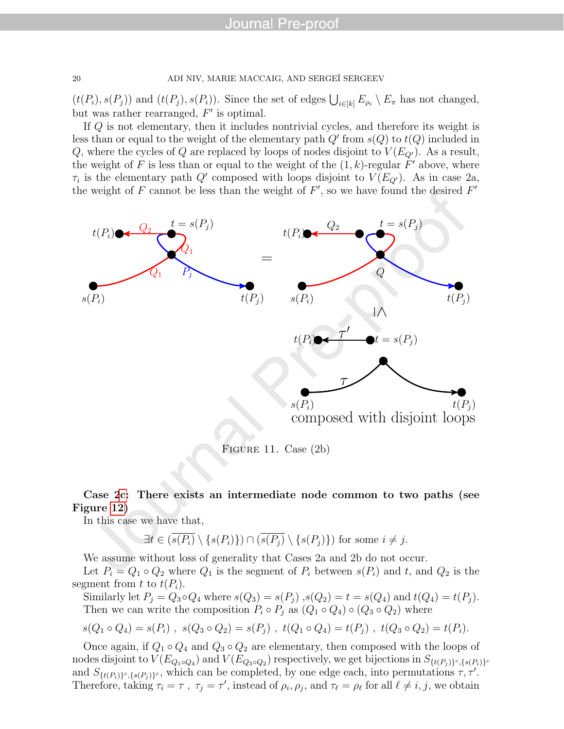$(t(P_i), s(P_j))$  and  $(t(P_j), s(P_i))$ . Since the set of edges  $\bigcup_{i \in [k]} E_{\rho_i} \setminus E_{\pi}$  has not changed, but was rather rearranged,  $F'$  is optimal.

If Q is not elementary, then it includes nontrivial cycles, and therefore its weight is less than or equal to the weight of the elementary path  $Q'$  from  $s(Q)$  to  $t(Q)$  included in Q, where the cycles of Q are replaced by loops of nodes disjoint to  $V(E_{Q'})$ . As a result, the weight of F is less than or equal to the weight of the  $(1, k)$ -regular  $F'$  above, where  $\tau_i$  is the elementary path Q' composed with loops disjoint to  $V(E_{Q'})$ . As in case 2a, the weight of F cannot be less than the weight of  $F'$ , so we have found the desired  $F'$ 



<span id="page-21-0"></span>Figure 11. Case (2b)

#### Case [2c:](#page-19-2) There exists an intermediate node common to two paths (see Figure [12\)](#page-22-0)

In this case we have that,

$$
\exists t \in (\overline{s(P_i)} \setminus \{s(P_i)\}) \cap (\overline{s(P_j)} \setminus \{s(P_j)\}) \text{ for some } i \neq j.
$$

We assume without loss of generality that Cases 2a and 2b do not occur. Let  $P_i = Q_1 \circ Q_2$  where  $Q_1$  is the segment of  $P_i$  between  $s(P_i)$  and t, and  $Q_2$  is the segment from t to  $t(P_i)$ .

Similarly let  $P_j = Q_3 \circ Q_4$  where  $s(Q_3) = s(P_j)$ ,  $s(Q_2) = t = s(Q_4)$  and  $t(Q_4) = t(P_j)$ . Then we can write the composition  $P_i \circ P_j$  as  $(Q_1 \circ Q_4) \circ (Q_3 \circ Q_2)$  where

$$
s(Q_1 \circ Q_4) = s(P_i) , s(Q_3 \circ Q_2) = s(P_j) , t(Q_1 \circ Q_4) = t(P_j) , t(Q_3 \circ Q_2) = t(P_i).
$$

Once again, if  $Q_1 \circ Q_4$  and  $Q_3 \circ Q_2$  are elementary, then composed with the loops of nodes disjoint to  $V(E_{Q_1 \circ Q_4})$  and  $V(E_{Q_3 \circ Q_2})$  respectively, we get bijections in  $S_{\{t(P_j)\}^c,\{s(P_i)\}^c}$ and  $S_{\{t(P_i)\}^c,\{s(P_j)\}^c}$ , which can be completed, by one edge each, into permutations  $\tau, \tau'$ . Therefore, taking  $\tau_i = \tau$ ,  $\tau_j = \tau'$ , instead of  $\rho_i$ ,  $\rho_j$ , and  $\tau_\ell = \rho_\ell$  for all  $\ell \neq i, j$ , we obtain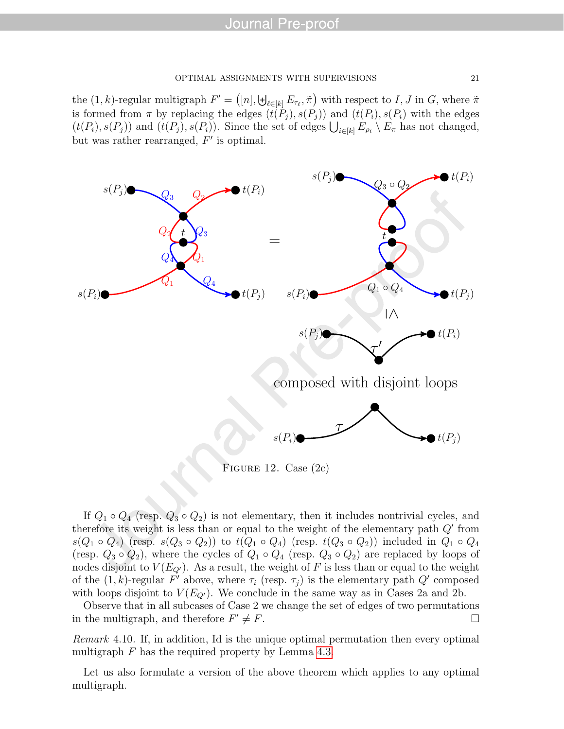the  $(1, k)$ -regular multigraph  $F' = (n]$ ,  $\biguplus_{\ell \in [k]} E_{\tau_{\ell}}, \tilde{\pi}$  with respect to I, J in G, where  $\tilde{\pi}$ is formed from  $\pi$  by replacing the edges  $(t(P_i), s(P_j))$  and  $(t(P_i), s(P_i))$  with the edges  $(t(P_i), s(P_j))$  and  $(t(P_j), s(P_i))$ . Since the set of edges  $\bigcup_{i \in [k]} E_{\rho_i} \setminus E_{\pi}$  has not changed, but was rather rearranged,  $F'$  is optimal.



<span id="page-22-0"></span>Figure 12. Case (2c)

If  $Q_1 \circ Q_4$  (resp.  $Q_3 \circ Q_2$ ) is not elementary, then it includes nontrivial cycles, and therefore its weight is less than or equal to the weight of the elementary path  $Q'$  from  $s(Q_1 \circ Q_4)$  (resp.  $s(Q_3 \circ Q_2)$ ) to  $t(Q_1 \circ Q_4)$  (resp.  $t(Q_3 \circ Q_2)$ ) included in  $Q_1 \circ Q_4$ (resp.  $Q_3 \circ Q_2$ ), where the cycles of  $Q_1 \circ Q_4$  (resp.  $Q_3 \circ Q_2$ ) are replaced by loops of nodes disjoint to  $V(E_{Q'})$ . As a result, the weight of F is less than or equal to the weight of the  $(1, k)$ -regular F' above, where  $\tau_i$  (resp.  $\tau_j$ ) is the elementary path Q' composed with loops disjoint to  $V(E_{Q})$ . We conclude in the same way as in Cases 2a and 2b.

Observe that in all subcases of Case 2 we change the set of edges of two permutations in the multigraph, and therefore  $F' \neq F$ .

Remark 4.10. If, in addition, Id is the unique optimal permutation then every optimal multigraph  $F$  has the required property by Lemma [4.3.](#page-15-1)

Let us also formulate a version of the above theorem which applies to any optimal multigraph.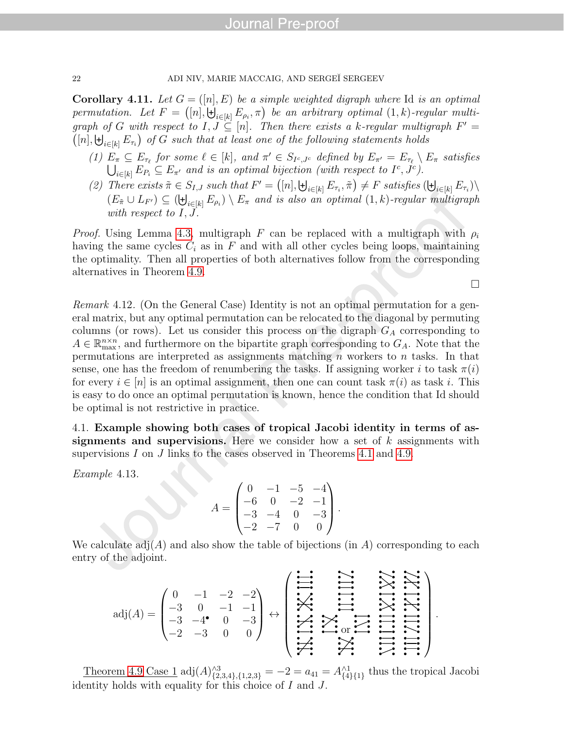**Corollary 4.11.** Let  $G = (n, E)$  be a simple weighted digraph where Id is an optimal permutation. Let  $F = ([n], \biguplus_{i \in [k]} E_{\rho_i}, \pi)$  be an arbitrary optimal  $(1, k)$ -regular multigraph of G with respect to  $I, J \subseteq [n]$ . Then there exists a k-regular multigraph  $F' =$  $([n], \biguplus_{i \in [k]} E_{\tau_i}$  of G such that at least one of the following statements holds

- (1)  $E_{\pi} \subseteq E_{\tau_{\ell}}$  for some  $\ell \in [k]$ , and  $\pi' \in S_{I^c, J^c}$  defined by  $E_{\pi'} = E_{\tau_{\ell}} \setminus E_{\pi}$  satisfies  $\bigcup_{i\in[k]} E_{P_i} \subseteq E_{\pi'}$  and is an optimal bijection (with respect to  $I^c, J^c$ ).
- (2) There exists  $\tilde{\pi} \in S_{I,J}$  such that  $F' = ([n], \biguplus_{i \in [k]} E_{\tau_i}, \tilde{\pi}) \neq F$  satisfies  $(\biguplus_{i \in [k]} E_{\tau_i}) \setminus$  $(E_{\tilde{\pi}} \cup L_{F'}) \subseteq (\biguplus_{i \in [k]} E_{\rho_i}) \setminus E_{\pi}$  and is also an optimal  $(1, k)$ -regular multigraph with respect to  $I, J$ .

*Proof.* Using Lemma [4.3,](#page-15-1) multigraph F can be replaced with a multigraph with  $\rho_i$ having the same cycles  $C_i$  as in F and with all other cycles being loops, maintaining the optimality. Then all properties of both alternatives follow from the corresponding alternatives in Theorem [4.9.](#page-17-1)

 $\Box$ 

Remark 4.12. (On the General Case) Identity is not an optimal permutation for a general matrix, but any optimal permutation can be relocated to the diagonal by permuting columns (or rows). Let us consider this process on the digraph  $G_A$  corresponding to  $A \in \mathbb{R}_{\max}^{n \times n}$ , and furthermore on the bipartite graph corresponding to  $G_A$ . Note that the permutations are interpreted as assignments matching  $n$  workers to  $n$  tasks. In that sense, one has the freedom of renumbering the tasks. If assigning worker i to task  $\pi(i)$ for every  $i \in [n]$  is an optimal assignment, then one can count task  $\pi(i)$  as task i. This is easy to do once an optimal permutation is known, hence the condition that Id should be optimal is not restrictive in practice.

4.1. Example showing both cases of tropical Jacobi identity in terms of assignments and supervisions. Here we consider how a set of  $k$  assignments with supervisions I on J links to the cases observed in Theorems [4.1](#page-15-0) and [4.9.](#page-17-1)

Example 4.13.

$$
A = \begin{pmatrix} 0 & -1 & -5 & -4 \\ -6 & 0 & -2 & -1 \\ -3 & -4 & 0 & -3 \\ -2 & -7 & 0 & 0 \end{pmatrix}.
$$

We calculate  $\text{adj}(A)$  and also show the table of bijections (in A) corresponding to each entry of the adjoint.

$$
adj(A) = \begin{pmatrix} 0 & -1 & -2 & -2 \\ -3 & 0 & -1 & -1 \\ -3 & -4 & 0 & -3 \\ -2 & -3 & 0 & 0 \end{pmatrix} \leftrightarrow \begin{pmatrix} \frac{1}{2} & \frac{1}{2} & \frac{1}{2} \\ \frac{1}{2} & \frac{1}{2} & \frac{1}{2} \\ \frac{1}{2} & \frac{1}{2} & \frac{1}{2} \\ \frac{1}{2} & \frac{1}{2} & \frac{1}{2} \end{pmatrix}.
$$

Theorem [4.9](#page-17-1) Case 1 adj $(A)_{\{2,3,4\},\{1,2,3\}}^{s3} = -2 = a_{41} = A_{\{4\}\{1\}}^{s1}$  thus the tropical Jacobi identity holds with equality for this choice of I and J.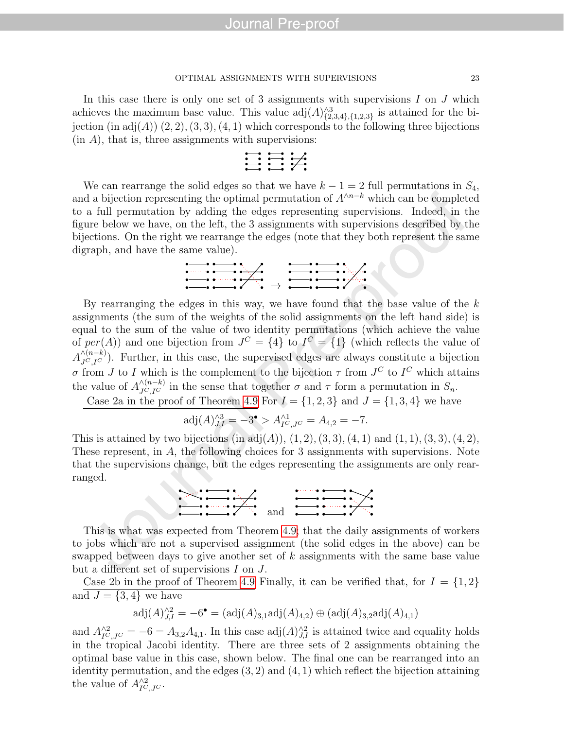#### OPTIMAL ASSIGNMENTS WITH SUPERVISIONS 23

In this case there is only one set of 3 assignments with supervisions  $I$  on  $J$  which achieves the maximum base value. This value  $\text{adj}(A)_{\{2,3,4\},\{1,2,3\}}^{\wedge 3}$  is attained for the bijection (in adj $(A)$ )  $(2, 2)$ ,  $(3, 3)$ ,  $(4, 1)$  which corresponds to the following three bijections  $(in A)$ , that is, three assignments with supervisions:

$$
\begin{array}{c}\n\bullet \\
\bullet \\
\bullet \\
\bullet \\
\bullet \\
\bullet\n\end{array}
$$

We can rearrange the solid edges so that we have  $k - 1 = 2$  full permutations in  $S_4$ , and a bijection representing the optimal permutation of  $A^{\wedge n-k}$  which can be completed to a full permutation by adding the edges representing supervisions. Indeed, in the figure below we have, on the left, the 3 assignments with supervisions described by the bijections. On the right we rearrange the edges (note that they both represent the same digraph, and have the same value).



By rearranging the edges in this way, we have found that the base value of the  $k$ assignments (the sum of the weights of the solid assignments on the left hand side) is equal to the sum of the value of two identity permutations (which achieve the value of  $per(A)$  and one bijection from  $J^C = \{4\}$  to  $I^C = \{1\}$  (which reflects the value of  $A_{J^C,I^C}^{\wedge (n-k)}$ ). Further, in this case, the supervised edges are always constitute a bijection σ from J to I which is the complement to the bijection  $\tau$  from  $J^C$  to  $I^C$  which attains the value of  $A_{J^C,I^C}^{\wedge (n-k)}$  in the sense that together  $\sigma$  and  $\tau$  form a permutation in  $S_n$ .

Case 2a in the proof of Theorem [4.9](#page-17-1) For  $I = \{1, 2, 3\}$  and  $J = \{1, 3, 4\}$  we have

$$
adj(A)_{J,I}^{\wedge 3} = -3^{\bullet} > A_{I^C,J^C}^{\wedge 1} = A_{4,2} = -7.
$$

This is attained by two bijections (in  $adj(A)$ ),  $(1, 2)$ ,  $(3, 3)$ ,  $(4, 1)$  and  $(1, 1)$ ,  $(3, 3)$ ,  $(4, 2)$ , These represent, in A, the following choices for 3 assignments with supervisions. Note that the supervisions change, but the edges representing the assignments are only rearranged.

$$
\sum_{n=1}^{\infty} \frac{1}{n} \sum_{n=1}^{\infty} \frac{1}{n} \sum_{n=1}^{\infty} \frac{1}{n} \sum_{n=1}^{\infty} \frac{1}{n} \sum_{n=1}^{\infty} \frac{1}{n} \sum_{n=1}^{\infty} \frac{1}{n} \sum_{n=1}^{\infty} \frac{1}{n} \sum_{n=1}^{\infty} \frac{1}{n} \sum_{n=1}^{\infty} \frac{1}{n} \sum_{n=1}^{\infty} \frac{1}{n} \sum_{n=1}^{\infty} \frac{1}{n} \sum_{n=1}^{\infty} \frac{1}{n} \sum_{n=1}^{\infty} \frac{1}{n} \sum_{n=1}^{\infty} \frac{1}{n} \sum_{n=1}^{\infty} \frac{1}{n} \sum_{n=1}^{\infty} \frac{1}{n} \sum_{n=1}^{\infty} \frac{1}{n} \sum_{n=1}^{\infty} \frac{1}{n} \sum_{n=1}^{\infty} \frac{1}{n} \sum_{n=1}^{\infty} \frac{1}{n} \sum_{n=1}^{\infty} \frac{1}{n} \sum_{n=1}^{\infty} \frac{1}{n} \sum_{n=1}^{\infty} \frac{1}{n} \sum_{n=1}^{\infty} \frac{1}{n} \sum_{n=1}^{\infty} \frac{1}{n} \sum_{n=1}^{\infty} \frac{1}{n} \sum_{n=1}^{\infty} \frac{1}{n} \sum_{n=1}^{\infty} \frac{1}{n} \sum_{n=1}^{\infty} \frac{1}{n} \sum_{n=1}^{\infty} \frac{1}{n} \sum_{n=1}^{\infty} \frac{1}{n} \sum_{n=1}^{\infty} \frac{1}{n} \sum_{n=1}^{\infty} \frac{1}{n} \sum_{n=1}^{\infty} \frac{1}{n} \sum_{n=1}^{\infty} \frac{1}{n} \sum_{n=1}^{\infty} \frac{1}{n} \sum_{n=1}^{\infty} \frac{1}{n} \sum_{n=1}^{\infty} \frac{1}{n} \sum_{n=1}^{\infty} \frac{1}{n} \sum_{n=1}^{\infty} \frac{1}{n}
$$

This is what was expected from Theorem [4.9;](#page-17-1) that the daily assignments of workers to jobs which are not a supervised assignment (the solid edges in the above) can be swapped between days to give another set of k assignments with the same base value but a different set of supervisions I on J.

Case 2b in the proof of Theorem [4.9](#page-17-1) Finally, it can be verified that, for  $I = \{1, 2\}$ and  $J = \{3, 4\}$  we have

$$
adj(A)^{2}_{J,I} = -6^{\bullet} = (adj(A)_{3,1}adj(A)_{4,2}) \oplus (adj(A)_{3,2}adj(A)_{4,1})
$$

and  $A_{I^C,J^C}^{\wedge 2} = -6 = A_{3,2}A_{4,1}$ . In this case  $\text{adj}(A)_{J,I}^{\wedge 2}$  is attained twice and equality holds in the tropical Jacobi identity. There are three sets of 2 assignments obtaining the optimal base value in this case, shown below. The final one can be rearranged into an identity permutation, and the edges  $(3, 2)$  and  $(4, 1)$  which reflect the bijection attaining the value of  $A_{I^C,J^C}^{\wedge 2}$ .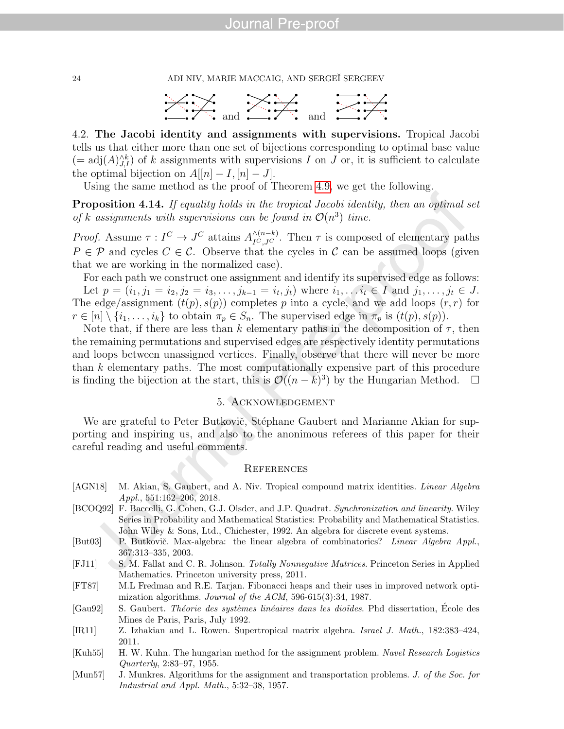24 ADI NIV, MARIE MACCAIG, AND SERGEÏ SERGEEV



4.2. The Jacobi identity and assignments with supervisions. Tropical Jacobi tells us that either more than one set of bijections corresponding to optimal base value  $(= adj(A)^{\wedge k}_{J,I})$  of k assignments with supervisions I on J or, it is sufficient to calculate the optimal bijection on  $A[[n] - I, [n] - J]$ .

Using the same method as the proof of Theorem [4.9,](#page-17-1) we get the following.

Proposition 4.14. If equality holds in the tropical Jacobi identity, then an optimal set of k assignments with supervisions can be found in  $\mathcal{O}(n^3)$  time.

*Proof.* Assume  $\tau: I^C \to J^C$  attains  $A_{I^C, J^C}^{\wedge (n-k)}$ . Then  $\tau$  is composed of elementary paths  $P \in \mathcal{P}$  and cycles  $C \in \mathcal{C}$ . Observe that the cycles in  $\mathcal{C}$  can be assumed loops (given that we are working in the normalized case).

For each path we construct one assignment and identify its supervised edge as follows: Let  $p = (i_1, j_1 = i_2, j_2 = i_3, \ldots, j_{k-1} = i_t, j_t)$  where  $i_1, \ldots, i_t \in I$  and  $j_1, \ldots, j_t \in J$ . The edge/assignment  $(t(p), s(p))$  completes p into a cycle, and we add loops  $(r, r)$  for  $r \in [n] \setminus \{i_1, \ldots, i_k\}$  to obtain  $\pi_p \in S_n$ . The supervised edge in  $\pi_p$  is  $(t(p), s(p))$ .

Note that, if there are less than k elementary paths in the decomposition of  $\tau$ , then the remaining permutations and supervised edges are respectively identity permutations and loops between unassigned vertices. Finally, observe that there will never be more than k elementary paths. The most computationally expensive part of this procedure is finding the bijection at the start, this is  $\mathcal{O}((n-k)^3)$  by the Hungarian Method. □

#### 5. Acknowledgement

We are grateful to Peter Butkovič, Stéphane Gaubert and Marianne Akian for supporting and inspiring us, and also to the anonimous referees of this paper for their careful reading and useful comments.

#### **REFERENCES**

- <span id="page-25-0"></span>[AGN18] M. Akian, S. Gaubert, and A. Niv. Tropical compound matrix identities. Linear Algebra Appl., 551:162–206, 2018.
- <span id="page-25-6"></span>[BCOQ92] F. Baccelli, G. Cohen, G.J. Olsder, and J.P. Quadrat. Synchronization and linearity. Wiley Series in Probability and Mathematical Statistics: Probability and Mathematical Statistics. John Wiley & Sons, Ltd., Chichester, 1992. An algebra for discrete event systems.
- <span id="page-25-1"></span>[But03] P. Butkovič. Max-algebra: the linear algebra of combinatorics? Linear Algebra Appl., 367:313–335, 2003.
- <span id="page-25-2"></span>[FJ11] S. M. Fallat and C. R. Johnson. Totally Nonnegative Matrices. Princeton Series in Applied Mathematics. Princeton university press, 2011.
- <span id="page-25-8"></span>[FT87] M.L Fredman and R.E. Tarjan. Fibonacci heaps and their uses in improved network optimization algorithms. Journal of the ACM, 596-615(3):34, 1987.
- <span id="page-25-7"></span>[Gau92] S. Gaubert. *Théorie des systèmes linéaires dans les dioïdes*. Phd dissertation, École des Mines de Paris, Paris, July 1992.
- <span id="page-25-3"></span>[IR11] Z. Izhakian and L. Rowen. Supertropical matrix algebra. Israel J. Math., 182:383–424, 2011.
- <span id="page-25-5"></span>[Kuh55] H. W. Kuhn. The hungarian method for the assignment problem. Navel Research Logistics Quarterly, 2:83–97, 1955.
- <span id="page-25-4"></span>[Mun57] J. Munkres. Algorithms for the assignment and transportation problems. J. of the Soc. for Industrial and Appl. Math., 5:32–38, 1957.